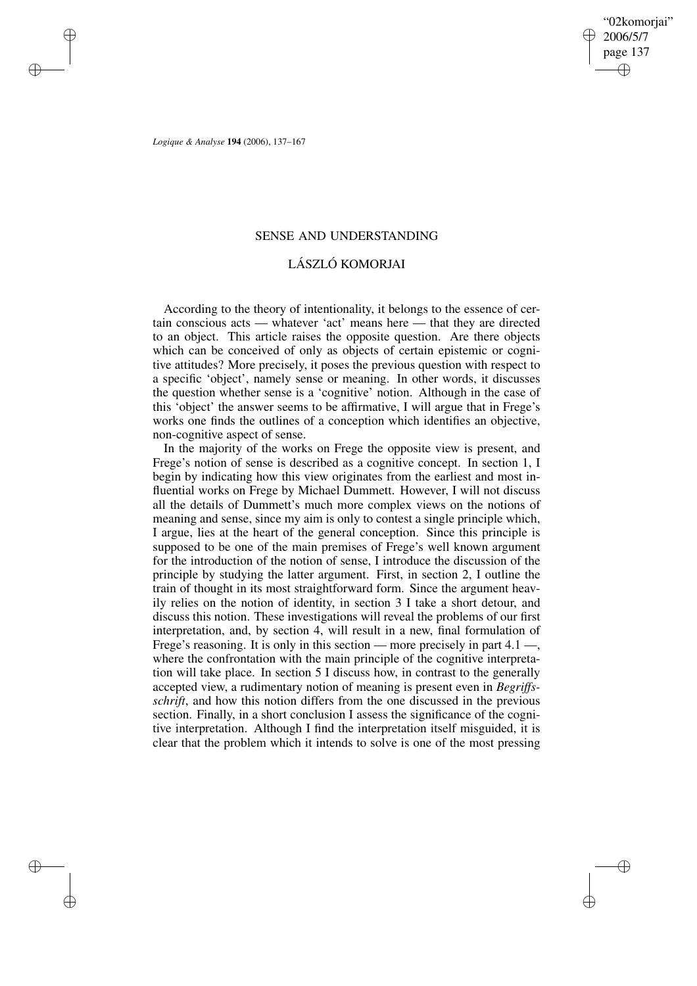"02komorjai" 2006/5/7 page 137 ✐ ✐

✐

✐

*Logique & Analyse* **194** (2006), 137–167

✐

✐

✐

✐

# SENSE AND UNDERSTANDING

# LÁSZLÓ KOMORJAI

According to the theory of intentionality, it belongs to the essence of certain conscious acts — whatever 'act' means here — that they are directed to an object. This article raises the opposite question. Are there objects which can be conceived of only as objects of certain epistemic or cognitive attitudes? More precisely, it poses the previous question with respect to a specific 'object', namely sense or meaning. In other words, it discusses the question whether sense is a 'cognitive' notion. Although in the case of this 'object' the answer seems to be affirmative, I will argue that in Frege's works one finds the outlines of a conception which identifies an objective, non-cognitive aspect of sense.

In the majority of the works on Frege the opposite view is present, and Frege's notion of sense is described as a cognitive concept. In section 1, I begin by indicating how this view originates from the earliest and most influential works on Frege by Michael Dummett. However, I will not discuss all the details of Dummett's much more complex views on the notions of meaning and sense, since my aim is only to contest a single principle which, I argue, lies at the heart of the general conception. Since this principle is supposed to be one of the main premises of Frege's well known argument for the introduction of the notion of sense, I introduce the discussion of the principle by studying the latter argument. First, in section 2, I outline the train of thought in its most straightforward form. Since the argument heavily relies on the notion of identity, in section 3 I take a short detour, and discuss this notion. These investigations will reveal the problems of our first interpretation, and, by section 4, will result in a new, final formulation of Frege's reasoning. It is only in this section — more precisely in part 4.1 —, where the confrontation with the main principle of the cognitive interpretation will take place. In section 5 I discuss how, in contrast to the generally accepted view, a rudimentary notion of meaning is present even in *Begriffsschrift*, and how this notion differs from the one discussed in the previous section. Finally, in a short conclusion I assess the significance of the cognitive interpretation. Although I find the interpretation itself misguided, it is clear that the problem which it intends to solve is one of the most pressing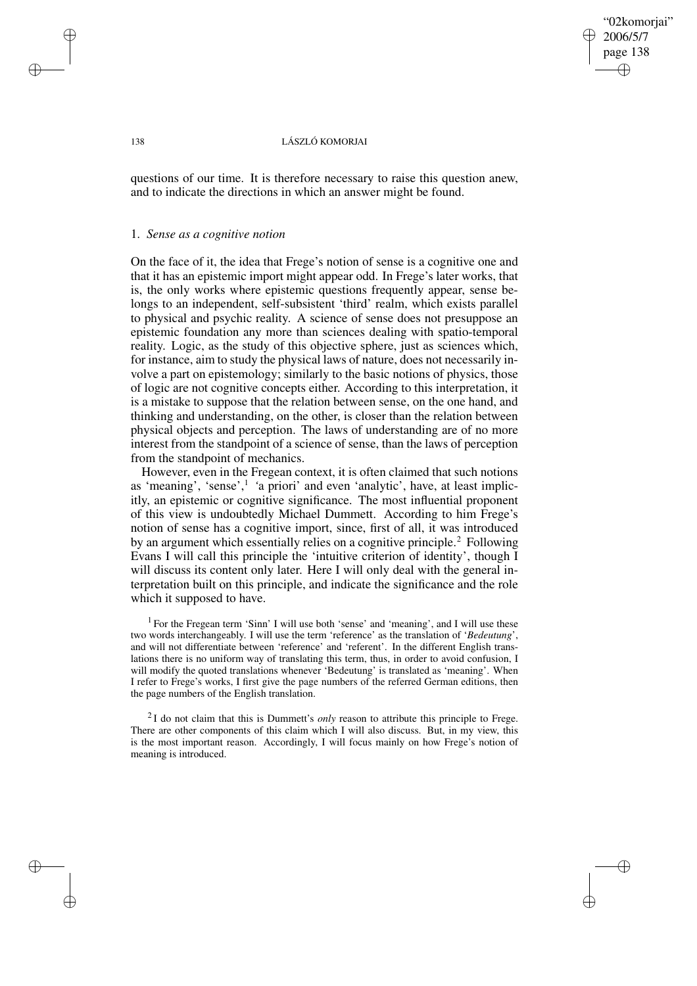"02komorjai" 2006/5/7 page 138 ✐ ✐

✐

✐

#### 138 LÁSZLÓ KOMORJAI

questions of our time. It is therefore necessary to raise this question anew, and to indicate the directions in which an answer might be found.

## 1. *Sense as a cognitive notion*

On the face of it, the idea that Frege's notion of sense is a cognitive one and that it has an epistemic import might appear odd. In Frege's later works, that is, the only works where epistemic questions frequently appear, sense belongs to an independent, self-subsistent 'third' realm, which exists parallel to physical and psychic reality. A science of sense does not presuppose an epistemic foundation any more than sciences dealing with spatio-temporal reality. Logic, as the study of this objective sphere, just as sciences which, for instance, aim to study the physical laws of nature, does not necessarily involve a part on epistemology; similarly to the basic notions of physics, those of logic are not cognitive concepts either. According to this interpretation, it is a mistake to suppose that the relation between sense, on the one hand, and thinking and understanding, on the other, is closer than the relation between physical objects and perception. The laws of understanding are of no more interest from the standpoint of a science of sense, than the laws of perception from the standpoint of mechanics.

However, even in the Fregean context, it is often claimed that such notions as 'meaning', 'sense',<sup>1</sup> 'a priori' and even 'analytic', have, at least implicitly, an epistemic or cognitive significance. The most influential proponent of this view is undoubtedly Michael Dummett. According to him Frege's notion of sense has a cognitive import, since, first of all, it was introduced by an argument which essentially relies on a cognitive principle.<sup>2</sup> Following Evans I will call this principle the 'intuitive criterion of identity', though I will discuss its content only later. Here I will only deal with the general interpretation built on this principle, and indicate the significance and the role which it supposed to have.

<sup>1</sup> For the Fregean term 'Sinn' I will use both 'sense' and 'meaning', and I will use these two words interchangeably. I will use the term 'reference' as the translation of '*Bedeutung*', and will not differentiate between 'reference' and 'referent'. In the different English translations there is no uniform way of translating this term, thus, in order to avoid confusion, I will modify the quoted translations whenever 'Bedeutung' is translated as 'meaning'. When I refer to Frege's works, I first give the page numbers of the referred German editions, then the page numbers of the English translation.

2 I do not claim that this is Dummett's *only* reason to attribute this principle to Frege. There are other components of this claim which I will also discuss. But, in my view, this is the most important reason. Accordingly, I will focus mainly on how Frege's notion of meaning is introduced.

✐

✐

✐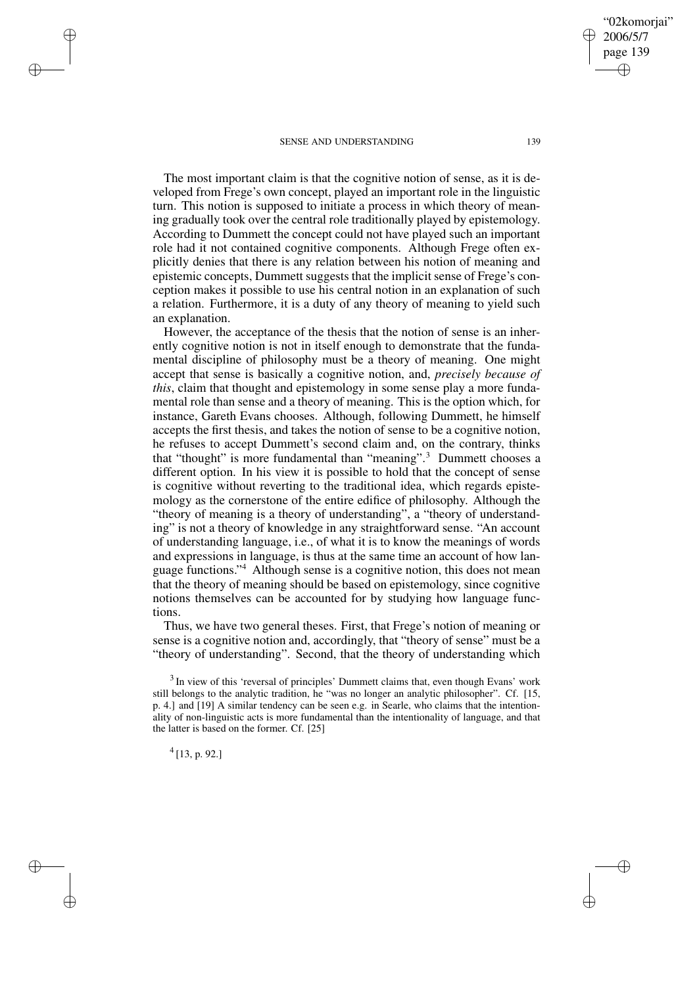The most important claim is that the cognitive notion of sense, as it is developed from Frege's own concept, played an important role in the linguistic turn. This notion is supposed to initiate a process in which theory of meaning gradually took over the central role traditionally played by epistemology. According to Dummett the concept could not have played such an important role had it not contained cognitive components. Although Frege often explicitly denies that there is any relation between his notion of meaning and epistemic concepts, Dummett suggests that the implicit sense of Frege's conception makes it possible to use his central notion in an explanation of such a relation. Furthermore, it is a duty of any theory of meaning to yield such an explanation.

However, the acceptance of the thesis that the notion of sense is an inherently cognitive notion is not in itself enough to demonstrate that the fundamental discipline of philosophy must be a theory of meaning. One might accept that sense is basically a cognitive notion, and, *precisely because of this*, claim that thought and epistemology in some sense play a more fundamental role than sense and a theory of meaning. This is the option which, for instance, Gareth Evans chooses. Although, following Dummett, he himself accepts the first thesis, and takes the notion of sense to be a cognitive notion, he refuses to accept Dummett's second claim and, on the contrary, thinks that "thought" is more fundamental than "meaning".<sup>3</sup> Dummett chooses a different option. In his view it is possible to hold that the concept of sense is cognitive without reverting to the traditional idea, which regards epistemology as the cornerstone of the entire edifice of philosophy. Although the "theory of meaning is a theory of understanding", a "theory of understanding" is not a theory of knowledge in any straightforward sense. "An account of understanding language, i.e., of what it is to know the meanings of words and expressions in language, is thus at the same time an account of how language functions." <sup>4</sup> Although sense is a cognitive notion, this does not mean that the theory of meaning should be based on epistemology, since cognitive notions themselves can be accounted for by studying how language functions.

Thus, we have two general theses. First, that Frege's notion of meaning or sense is a cognitive notion and, accordingly, that "theory of sense" must be a "theory of understanding". Second, that the theory of understanding which

 $3$  In view of this 'reversal of principles' Dummett claims that, even though Evans' work still belongs to the analytic tradition, he "was no longer an analytic philosopher". Cf. [15, p. 4.] and [19] A similar tendency can be seen e.g. in Searle, who claims that the intentionality of non-linguistic acts is more fundamental than the intentionality of language, and that the latter is based on the former. Cf. [25]

4 [13, p. 92.]

✐

✐

✐

✐

"02komorjai" 2006/5/7 page 139

✐

✐

✐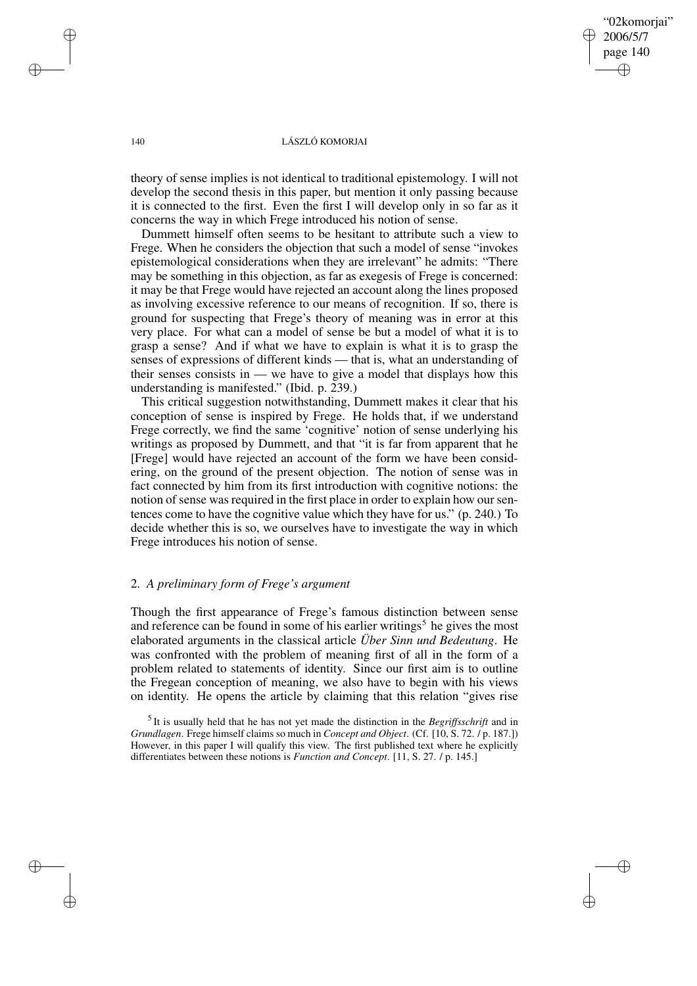"02komorjai" 2006/5/7 page 140 ✐ ✐

✐

✐

### 140 LÁSZLÓ KOMORJAI

theory of sense implies is not identical to traditional epistemology. I will not develop the second thesis in this paper, but mention it only passing because it is connected to the first. Even the first I will develop only in so far as it concerns the way in which Frege introduced his notion of sense.

Dummett himself often seems to be hesitant to attribute such a view to Frege. When he considers the objection that such a model of sense "invokes epistemological considerations when they are irrelevant" he admits: "There may be something in this objection, as far as exegesis of Frege is concerned: it may be that Frege would have rejected an account along the lines proposed as involving excessive reference to our means of recognition. If so, there is ground for suspecting that Frege's theory of meaning was in error at this very place. For what can a model of sense be but a model of what it is to grasp a sense? And if what we have to explain is what it is to grasp the senses of expressions of different kinds — that is, what an understanding of their senses consists in — we have to give a model that displays how this understanding is manifested." (Ibid. p. 239.)

This critical suggestion notwithstanding, Dummett makes it clear that his conception of sense is inspired by Frege. He holds that, if we understand Frege correctly, we find the same 'cognitive' notion of sense underlying his writings as proposed by Dummett, and that "it is far from apparent that he [Frege] would have rejected an account of the form we have been considering, on the ground of the present objection. The notion of sense was in fact connected by him from its first introduction with cognitive notions: the notion of sense was required in the first place in order to explain how our sentences come to have the cognitive value which they have for us." (p. 240.) To decide whether this is so, we ourselves have to investigate the way in which Frege introduces his notion of sense.

# 2. *A preliminary form of Frege's argument*

Though the first appearance of Frege's famous distinction between sense and reference can be found in some of his earlier writings<sup>5</sup> he gives the most elaborated arguments in the classical article *Über Sinn und Bedeutung*. He was confronted with the problem of meaning first of all in the form of a problem related to statements of identity. Since our first aim is to outline the Fregean conception of meaning, we also have to begin with his views on identity. He opens the article by claiming that this relation "gives rise

5 It is usually held that he has not yet made the distinction in the *Begriffsschrift* and in *Grundlagen*. Frege himself claims so much in *Concept and Object*. (Cf. [10, S. 72. / p. 187.]) However, in this paper I will qualify this view. The first published text where he explicitly differentiates between these notions is *Function and Concept*. [11, S. 27. / p. 145.]

✐

✐

✐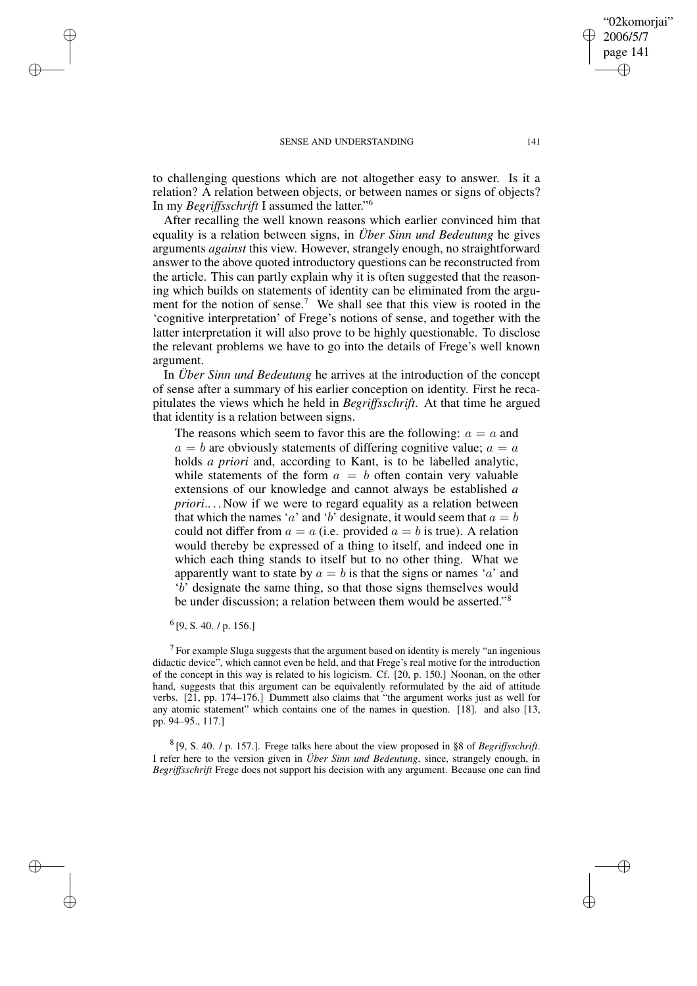to challenging questions which are not altogether easy to answer. Is it a relation? A relation between objects, or between names or signs of objects? In my *Begriffsschrift* I assumed the latter." 6

After recalling the well known reasons which earlier convinced him that equality is a relation between signs, in *Über Sinn und Bedeutung* he gives arguments *against* this view. However, strangely enough, no straightforward answer to the above quoted introductory questions can be reconstructed from the article. This can partly explain why it is often suggested that the reasoning which builds on statements of identity can be eliminated from the argument for the notion of sense.<sup>7</sup> We shall see that this view is rooted in the 'cognitive interpretation' of Frege's notions of sense, and together with the latter interpretation it will also prove to be highly questionable. To disclose the relevant problems we have to go into the details of Frege's well known argument.

In *Über Sinn und Bedeutung* he arrives at the introduction of the concept of sense after a summary of his earlier conception on identity. First he recapitulates the views which he held in *Begriffsschrift*. At that time he argued that identity is a relation between signs.

The reasons which seem to favor this are the following:  $a = a$  and  $a = b$  are obviously statements of differing cognitive value;  $a = a$ holds *a priori* and, according to Kant, is to be labelled analytic, while statements of the form  $a = b$  often contain very valuable extensions of our knowledge and cannot always be established *a priori*.... Now if we were to regard equality as a relation between that which the names 'a' and 'b' designate, it would seem that  $a = b$ could not differ from  $a = a$  (i.e. provided  $a = b$  is true). A relation would thereby be expressed of a thing to itself, and indeed one in which each thing stands to itself but to no other thing. What we apparently want to state by  $a = b$  is that the signs or names 'a' and 'b' designate the same thing, so that those signs themselves would be under discussion; a relation between them would be asserted."<sup>8</sup>

 $^{6}$  [9, S. 40. / p. 156.]

✐

✐

✐

✐

 $<sup>7</sup>$  For example Sluga suggests that the argument based on identity is merely "an ingenious</sup> didactic device", which cannot even be held, and that Frege's real motive for the introduction of the concept in this way is related to his logicism. Cf. [20, p. 150.] Noonan, on the other hand, suggests that this argument can be equivalently reformulated by the aid of attitude verbs. [21, pp. 174–176.] Dummett also claims that "the argument works just as well for any atomic statement" which contains one of the names in question. [18]. and also [13, pp. 94–95., 117.]

8 [9, S. 40. / p. 157.]. Frege talks here about the view proposed in §8 of *Begriffsschrift*. I refer here to the version given in *Über Sinn und Bedeutung*, since, strangely enough, in *Begriffsschrift* Frege does not support his decision with any argument. Because one can find

'02komoriai" 2006/5/7 page 141

✐

✐

✐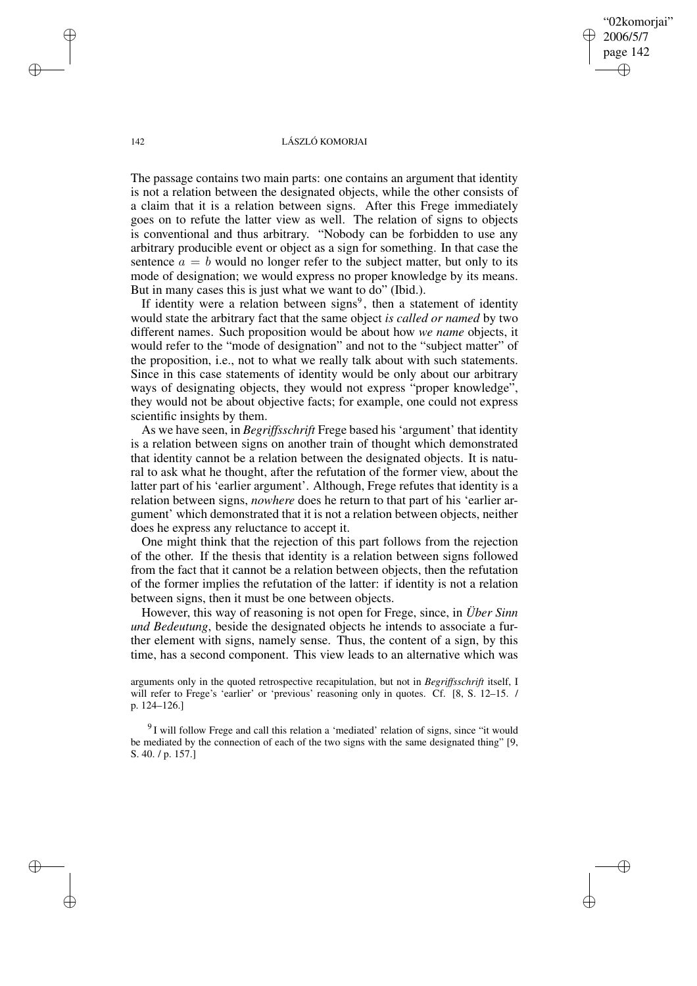"02komorjai" 2006/5/7 page 142 ✐ ✐

✐

✐

#### 142 LÁSZLÓ KOMORJAI

The passage contains two main parts: one contains an argument that identity is not a relation between the designated objects, while the other consists of a claim that it is a relation between signs. After this Frege immediately goes on to refute the latter view as well. The relation of signs to objects is conventional and thus arbitrary. "Nobody can be forbidden to use any arbitrary producible event or object as a sign for something. In that case the sentence  $a = b$  would no longer refer to the subject matter, but only to its mode of designation; we would express no proper knowledge by its means. But in many cases this is just what we want to do" (Ibid.).

If identity were a relation between signs<sup>9</sup>, then a statement of identity would state the arbitrary fact that the same object *is called or named* by two different names. Such proposition would be about how *we name* objects, it would refer to the "mode of designation" and not to the "subject matter" of the proposition, i.e., not to what we really talk about with such statements. Since in this case statements of identity would be only about our arbitrary ways of designating objects, they would not express "proper knowledge", they would not be about objective facts; for example, one could not express scientific insights by them.

As we have seen, in *Begriffsschrift* Frege based his 'argument' that identity is a relation between signs on another train of thought which demonstrated that identity cannot be a relation between the designated objects. It is natural to ask what he thought, after the refutation of the former view, about the latter part of his 'earlier argument'. Although, Frege refutes that identity is a relation between signs, *nowhere* does he return to that part of his 'earlier argument' which demonstrated that it is not a relation between objects, neither does he express any reluctance to accept it.

One might think that the rejection of this part follows from the rejection of the other. If the thesis that identity is a relation between signs followed from the fact that it cannot be a relation between objects, then the refutation of the former implies the refutation of the latter: if identity is not a relation between signs, then it must be one between objects.

However, this way of reasoning is not open for Frege, since, in *Über Sinn und Bedeutung*, beside the designated objects he intends to associate a further element with signs, namely sense. Thus, the content of a sign, by this time, has a second component. This view leads to an alternative which was

arguments only in the quoted retrospective recapitulation, but not in *Begriffsschrift* itself, I will refer to Frege's 'earlier' or 'previous' reasoning only in quotes. Cf. [8, S. 12–15. / p. 124–126.]

<sup>9</sup>I will follow Frege and call this relation a 'mediated' relation of signs, since "it would be mediated by the connection of each of the two signs with the same designated thing" [9, S. 40. / p. 157.]

✐

✐

✐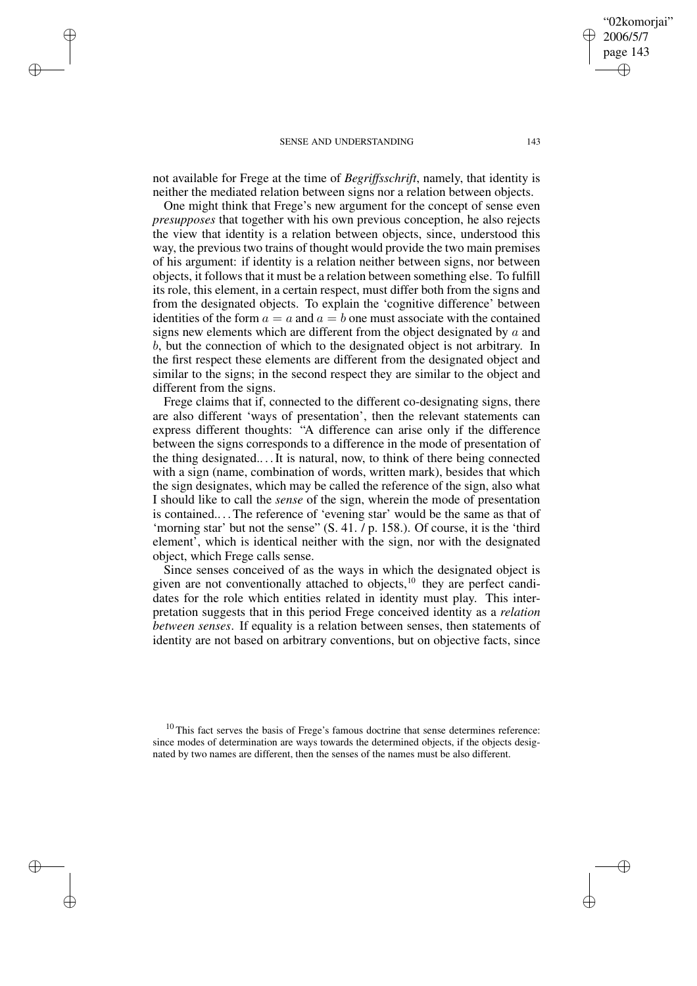✐

✐

✐

✐

not available for Frege at the time of *Begriffsschrift*, namely, that identity is neither the mediated relation between signs nor a relation between objects.

One might think that Frege's new argument for the concept of sense even *presupposes* that together with his own previous conception, he also rejects the view that identity is a relation between objects, since, understood this way, the previous two trains of thought would provide the two main premises of his argument: if identity is a relation neither between signs, nor between objects, it follows that it must be a relation between something else. To fulfill its role, this element, in a certain respect, must differ both from the signs and from the designated objects. To explain the 'cognitive difference' between identities of the form  $a = a$  and  $a = b$  one must associate with the contained signs new elements which are different from the object designated by  $\alpha$  and b, but the connection of which to the designated object is not arbitrary. In the first respect these elements are different from the designated object and similar to the signs; in the second respect they are similar to the object and different from the signs.

Frege claims that if, connected to the different co-designating signs, there are also different 'ways of presentation', then the relevant statements can express different thoughts: "A difference can arise only if the difference between the signs corresponds to a difference in the mode of presentation of the thing designated.. . .It is natural, now, to think of there being connected with a sign (name, combination of words, written mark), besides that which the sign designates, which may be called the reference of the sign, also what I should like to call the *sense* of the sign, wherein the mode of presentation is contained.. . .The reference of 'evening star' would be the same as that of 'morning star' but not the sense" (S. 41. / p. 158.). Of course, it is the 'third element', which is identical neither with the sign, nor with the designated object, which Frege calls sense.

Since senses conceived of as the ways in which the designated object is given are not conventionally attached to objects,<sup>10</sup> they are perfect candidates for the role which entities related in identity must play. This interpretation suggests that in this period Frege conceived identity as a *relation between senses*. If equality is a relation between senses, then statements of identity are not based on arbitrary conventions, but on objective facts, since

 $10$  This fact serves the basis of Frege's famous doctrine that sense determines reference: since modes of determination are ways towards the determined objects, if the objects designated by two names are different, then the senses of the names must be also different.

"02komorjai" 2006/5/7 page 143

✐

✐

✐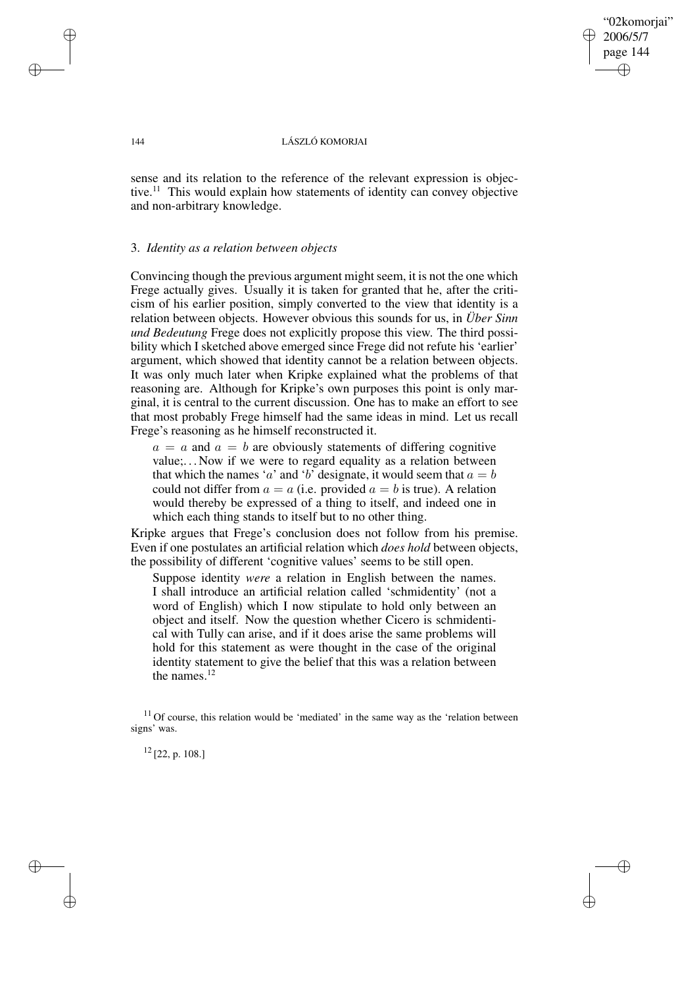"02komorjai" 2006/5/7 page 144 ✐ ✐

✐

✐

#### 144 LÁSZLÓ KOMORJAI

sense and its relation to the reference of the relevant expression is objective.<sup>11</sup> This would explain how statements of identity can convey objective and non-arbitrary knowledge.

## 3. *Identity as a relation between objects*

Convincing though the previous argument might seem, it is not the one which Frege actually gives. Usually it is taken for granted that he, after the criticism of his earlier position, simply converted to the view that identity is a relation between objects. However obvious this sounds for us, in *Über Sinn und Bedeutung* Frege does not explicitly propose this view. The third possibility which I sketched above emerged since Frege did not refute his 'earlier' argument, which showed that identity cannot be a relation between objects. It was only much later when Kripke explained what the problems of that reasoning are. Although for Kripke's own purposes this point is only marginal, it is central to the current discussion. One has to make an effort to see that most probably Frege himself had the same ideas in mind. Let us recall Frege's reasoning as he himself reconstructed it.

 $a = a$  and  $a = b$  are obviously statements of differing cognitive value;. . . Now if we were to regard equality as a relation between that which the names 'a' and 'b' designate, it would seem that  $a = b$ could not differ from  $a = a$  (i.e. provided  $a = b$  is true). A relation would thereby be expressed of a thing to itself, and indeed one in which each thing stands to itself but to no other thing.

Kripke argues that Frege's conclusion does not follow from his premise. Even if one postulates an artificial relation which *does hold* between objects, the possibility of different 'cognitive values' seems to be still open.

Suppose identity *were* a relation in English between the names. I shall introduce an artificial relation called 'schmidentity' (not a word of English) which I now stipulate to hold only between an object and itself. Now the question whether Cicero is schmidentical with Tully can arise, and if it does arise the same problems will hold for this statement as were thought in the case of the original identity statement to give the belief that this was a relation between the names.<sup>12</sup>

 $11$  Of course, this relation would be 'mediated' in the same way as the 'relation between signs' was.

 $12$  [22, p. 108.]

✐

✐

✐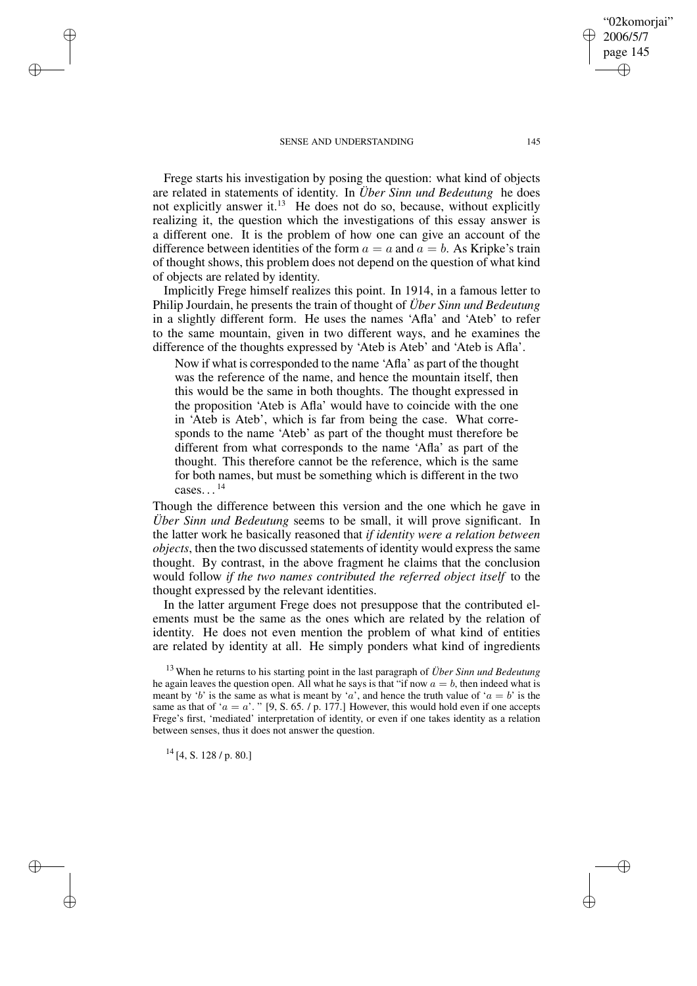Frege starts his investigation by posing the question: what kind of objects are related in statements of identity. In *Über Sinn und Bedeutung* he does not explicitly answer it.<sup>13</sup> He does not do so, because, without explicitly realizing it, the question which the investigations of this essay answer is a different one. It is the problem of how one can give an account of the difference between identities of the form  $a = a$  and  $a = b$ . As Kripke's train of thought shows, this problem does not depend on the question of what kind of objects are related by identity.

Implicitly Frege himself realizes this point. In 1914, in a famous letter to Philip Jourdain, he presents the train of thought of *Über Sinn und Bedeutung* in a slightly different form. He uses the names 'Afla' and 'Ateb' to refer to the same mountain, given in two different ways, and he examines the difference of the thoughts expressed by 'Ateb is Ateb' and 'Ateb is Afla'.

Now if what is corresponded to the name 'Afla' as part of the thought was the reference of the name, and hence the mountain itself, then this would be the same in both thoughts. The thought expressed in the proposition 'Ateb is Afla' would have to coincide with the one in 'Ateb is Ateb', which is far from being the case. What corresponds to the name 'Ateb' as part of the thought must therefore be different from what corresponds to the name 'Afla' as part of the thought. This therefore cannot be the reference, which is the same for both names, but must be something which is different in the two  $cases...^{14}$ 

Though the difference between this version and the one which he gave in *Über Sinn und Bedeutung* seems to be small, it will prove significant. In the latter work he basically reasoned that *if identity were a relation between objects*, then the two discussed statements of identity would express the same thought. By contrast, in the above fragment he claims that the conclusion would follow *if the two names contributed the referred object itself* to the thought expressed by the relevant identities.

In the latter argument Frege does not presuppose that the contributed elements must be the same as the ones which are related by the relation of identity. He does not even mention the problem of what kind of entities are related by identity at all. He simply ponders what kind of ingredients

 $14$  [4, S, 128 / p, 80.]

✐

✐

✐

✐

"02komorjai" 2006/5/7 page 145

✐

✐

✐

<sup>13</sup> When he returns to his starting point in the last paragraph of *Über Sinn und Bedeutung* he again leaves the question open. All what he says is that "if now  $a = b$ , then indeed what is meant by 'b' is the same as what is meant by 'a', and hence the truth value of ' $a = b$ ' is the same as that of ' $a = a'$ . " [9, S. 65. / p. 177.] However, this would hold even if one accepts Frege's first, 'mediated' interpretation of identity, or even if one takes identity as a relation between senses, thus it does not answer the question.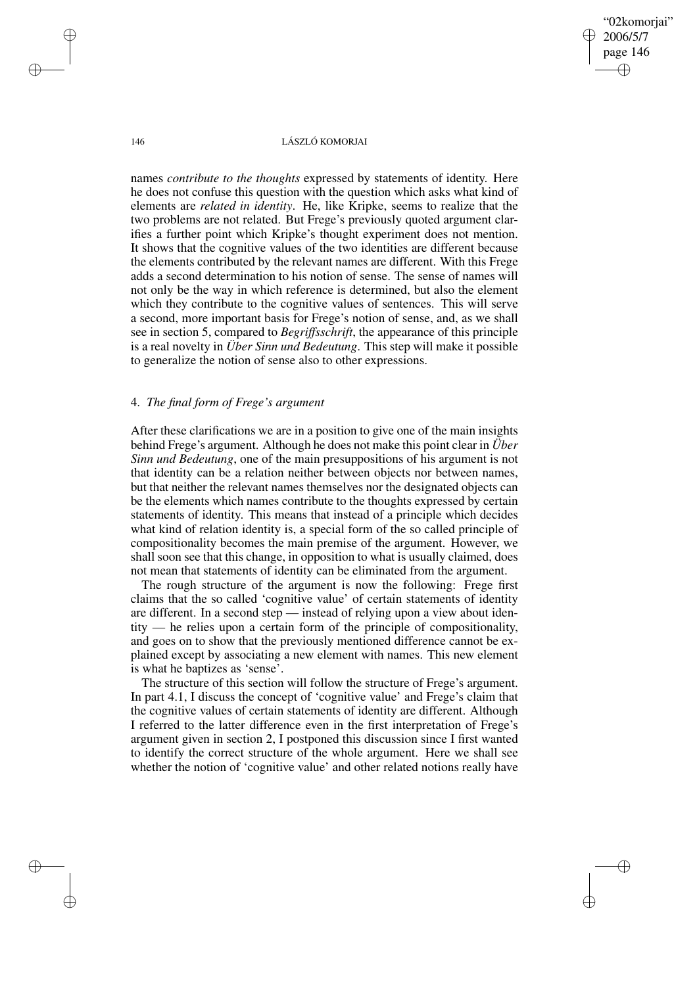"02komorjai" 2006/5/7 page 146 ✐ ✐

✐

✐

#### 146 LÁSZLÓ KOMORJAI

names *contribute to the thoughts* expressed by statements of identity. Here he does not confuse this question with the question which asks what kind of elements are *related in identity*. He, like Kripke, seems to realize that the two problems are not related. But Frege's previously quoted argument clarifies a further point which Kripke's thought experiment does not mention. It shows that the cognitive values of the two identities are different because the elements contributed by the relevant names are different. With this Frege adds a second determination to his notion of sense. The sense of names will not only be the way in which reference is determined, but also the element which they contribute to the cognitive values of sentences. This will serve a second, more important basis for Frege's notion of sense, and, as we shall see in section 5, compared to *Begriffsschrift*, the appearance of this principle is a real novelty in *Über Sinn und Bedeutung*. This step will make it possible to generalize the notion of sense also to other expressions.

# 4. *The final form of Frege's argument*

After these clarifications we are in a position to give one of the main insights behind Frege's argument. Although he does not make this point clear in *Über Sinn und Bedeutung*, one of the main presuppositions of his argument is not that identity can be a relation neither between objects nor between names, but that neither the relevant names themselves nor the designated objects can be the elements which names contribute to the thoughts expressed by certain statements of identity. This means that instead of a principle which decides what kind of relation identity is, a special form of the so called principle of compositionality becomes the main premise of the argument. However, we shall soon see that this change, in opposition to what is usually claimed, does not mean that statements of identity can be eliminated from the argument.

The rough structure of the argument is now the following: Frege first claims that the so called 'cognitive value' of certain statements of identity are different. In a second step — instead of relying upon a view about identity — he relies upon a certain form of the principle of compositionality, and goes on to show that the previously mentioned difference cannot be explained except by associating a new element with names. This new element is what he baptizes as 'sense'.

The structure of this section will follow the structure of Frege's argument. In part 4.1, I discuss the concept of 'cognitive value' and Frege's claim that the cognitive values of certain statements of identity are different. Although I referred to the latter difference even in the first interpretation of Frege's argument given in section 2, I postponed this discussion since I first wanted to identify the correct structure of the whole argument. Here we shall see whether the notion of 'cognitive value' and other related notions really have

✐

✐

✐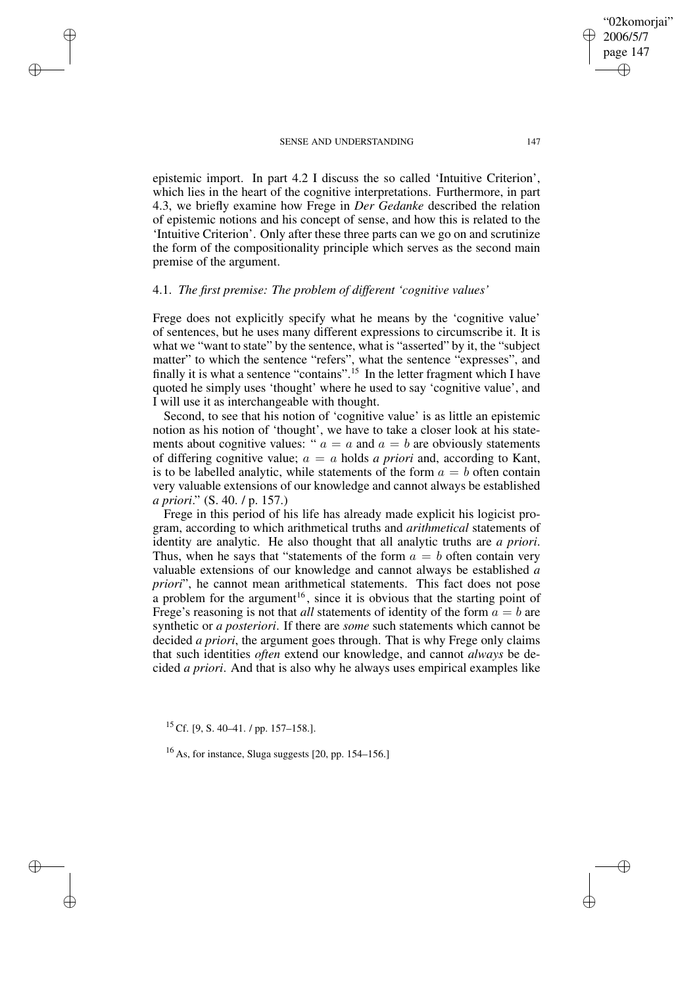✐

✐

✐

✐

epistemic import. In part 4.2 I discuss the so called 'Intuitive Criterion', which lies in the heart of the cognitive interpretations. Furthermore, in part 4.3, we briefly examine how Frege in *Der Gedanke* described the relation of epistemic notions and his concept of sense, and how this is related to the 'Intuitive Criterion'. Only after these three parts can we go on and scrutinize the form of the compositionality principle which serves as the second main premise of the argument.

# 4.1. *The first premise: The problem of different 'cognitive values'*

Frege does not explicitly specify what he means by the 'cognitive value' of sentences, but he uses many different expressions to circumscribe it. It is what we "want to state" by the sentence, what is "asserted" by it, the "subject" matter" to which the sentence "refers", what the sentence "expresses", and finally it is what a sentence "contains".<sup>15</sup> In the letter fragment which I have quoted he simply uses 'thought' where he used to say 'cognitive value', and I will use it as interchangeable with thought.

Second, to see that his notion of 'cognitive value' is as little an epistemic notion as his notion of 'thought', we have to take a closer look at his statements about cognitive values: " $a = a$  and  $a = b$  are obviously statements of differing cognitive value;  $a = a$  holds *a priori* and, according to Kant, is to be labelled analytic, while statements of the form  $a = b$  often contain very valuable extensions of our knowledge and cannot always be established *a priori*." (S. 40. / p. 157.)

Frege in this period of his life has already made explicit his logicist program, according to which arithmetical truths and *arithmetical* statements of identity are analytic. He also thought that all analytic truths are *a priori*. Thus, when he says that "statements of the form  $a = b$  often contain very valuable extensions of our knowledge and cannot always be established *a priori*", he cannot mean arithmetical statements. This fact does not pose a problem for the argument<sup>16</sup>, since it is obvious that the starting point of Frege's reasoning is not that *all* statements of identity of the form  $a = b$  are synthetic or *a posteriori*. If there are *some* such statements which cannot be decided *a priori*, the argument goes through. That is why Frege only claims that such identities *often* extend our knowledge, and cannot *always* be decided *a priori*. And that is also why he always uses empirical examples like

<sup>15</sup> Cf. [9, S. 40–41. / pp. 157–158.].

 $16$  As, for instance, Sluga suggests [20, pp. 154–156.]

"02komorjai" 2006/5/7 page 147

✐

✐

✐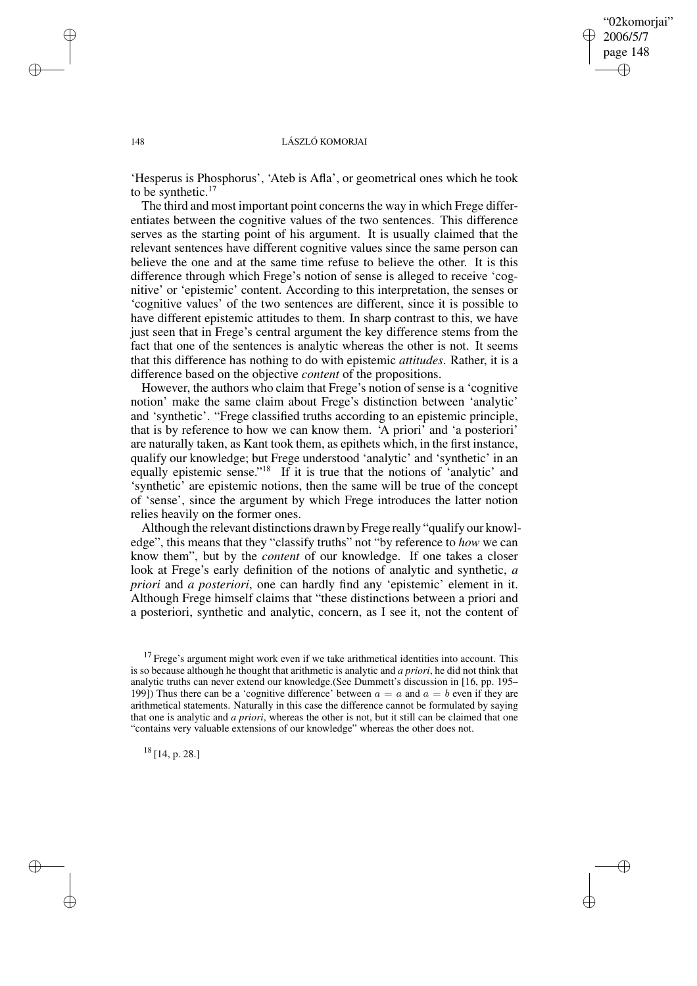✐

✐

#### 148 LÁSZLÓ KOMORJAI

'Hesperus is Phosphorus', 'Ateb is Afla', or geometrical ones which he took to be synthetic.<sup>17</sup>

The third and most important point concerns the way in which Frege differentiates between the cognitive values of the two sentences. This difference serves as the starting point of his argument. It is usually claimed that the relevant sentences have different cognitive values since the same person can believe the one and at the same time refuse to believe the other. It is this difference through which Frege's notion of sense is alleged to receive 'cognitive' or 'epistemic' content. According to this interpretation, the senses or 'cognitive values' of the two sentences are different, since it is possible to have different epistemic attitudes to them. In sharp contrast to this, we have just seen that in Frege's central argument the key difference stems from the fact that one of the sentences is analytic whereas the other is not. It seems that this difference has nothing to do with epistemic *attitudes*. Rather, it is a difference based on the objective *content* of the propositions.

However, the authors who claim that Frege's notion of sense is a 'cognitive notion' make the same claim about Frege's distinction between 'analytic' and 'synthetic'. "Frege classified truths according to an epistemic principle, that is by reference to how we can know them. 'A priori' and 'a posteriori' are naturally taken, as Kant took them, as epithets which, in the first instance, qualify our knowledge; but Frege understood 'analytic' and 'synthetic' in an equally epistemic sense."<sup>18</sup> If it is true that the notions of 'analytic' and 'synthetic' are epistemic notions, then the same will be true of the concept of 'sense', since the argument by which Frege introduces the latter notion relies heavily on the former ones.

Although the relevant distinctions drawn by Frege really "qualify our knowledge", this means that they "classify truths" not "by reference to *how* we can know them", but by the *content* of our knowledge. If one takes a closer look at Frege's early definition of the notions of analytic and synthetic, *a priori* and *a posteriori*, one can hardly find any 'epistemic' element in it. Although Frege himself claims that "these distinctions between a priori and a posteriori, synthetic and analytic, concern, as I see it, not the content of

 $18$  [14, p. 28.]

✐

✐

✐

 $17$  Frege's argument might work even if we take arithmetical identities into account. This is so because although he thought that arithmetic is analytic and *a priori*, he did not think that analytic truths can never extend our knowledge.(See Dummett's discussion in [16, pp. 195– 1991) Thus there can be a 'cognitive difference' between  $a = a$  and  $a = b$  even if they are arithmetical statements. Naturally in this case the difference cannot be formulated by saying that one is analytic and *a priori*, whereas the other is not, but it still can be claimed that one "contains very valuable extensions of our knowledge" whereas the other does not.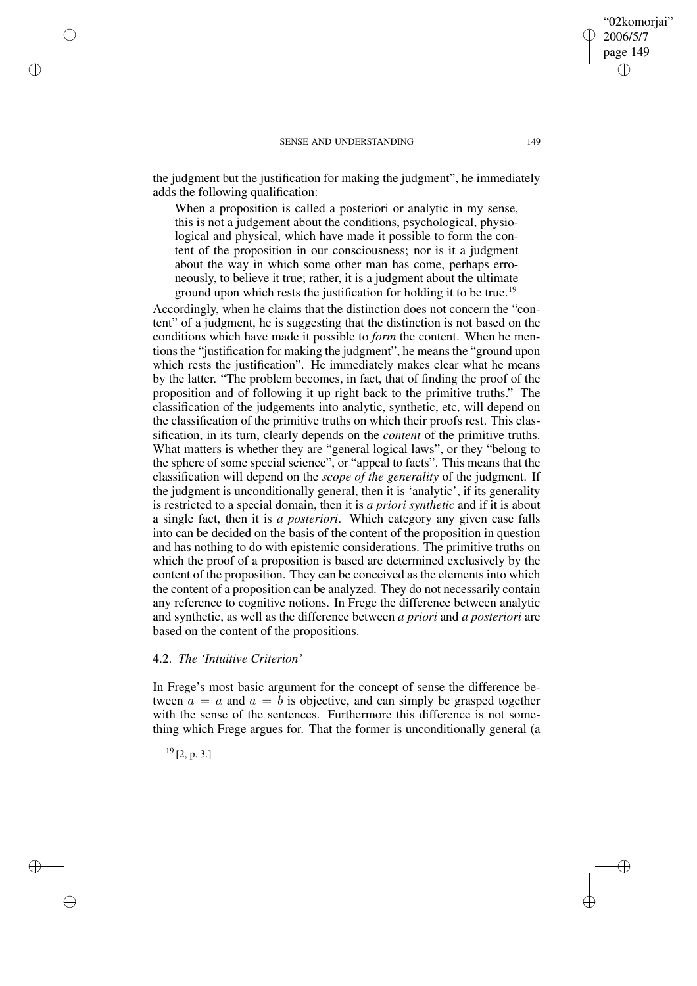the judgment but the justification for making the judgment", he immediately adds the following qualification:

When a proposition is called a posteriori or analytic in my sense, this is not a judgement about the conditions, psychological, physiological and physical, which have made it possible to form the content of the proposition in our consciousness; nor is it a judgment about the way in which some other man has come, perhaps erroneously, to believe it true; rather, it is a judgment about the ultimate ground upon which rests the justification for holding it to be true.<sup>19</sup>

Accordingly, when he claims that the distinction does not concern the "content" of a judgment, he is suggesting that the distinction is not based on the conditions which have made it possible to *form* the content. When he mentions the "justification for making the judgment", he means the "ground upon which rests the justification". He immediately makes clear what he means by the latter. "The problem becomes, in fact, that of finding the proof of the proposition and of following it up right back to the primitive truths." The classification of the judgements into analytic, synthetic, etc, will depend on the classification of the primitive truths on which their proofs rest. This classification, in its turn, clearly depends on the *content* of the primitive truths. What matters is whether they are "general logical laws", or they "belong to the sphere of some special science", or "appeal to facts". This means that the classification will depend on the *scope of the generality* of the judgment. If the judgment is unconditionally general, then it is 'analytic', if its generality is restricted to a special domain, then it is *a priori synthetic* and if it is about a single fact, then it is *a posteriori*. Which category any given case falls into can be decided on the basis of the content of the proposition in question and has nothing to do with epistemic considerations. The primitive truths on which the proof of a proposition is based are determined exclusively by the content of the proposition. They can be conceived as the elements into which the content of a proposition can be analyzed. They do not necessarily contain any reference to cognitive notions. In Frege the difference between analytic and synthetic, as well as the difference between *a priori* and *a posteriori* are based on the content of the propositions.

# 4.2. *The 'Intuitive Criterion'*

In Frege's most basic argument for the concept of sense the difference between  $a = a$  and  $a = b$  is objective, and can simply be grasped together with the sense of the sentences. Furthermore this difference is not something which Frege argues for. That the former is unconditionally general (a

 $19$  [2, p. 3.]

✐

✐

✐

✐

"02komorjai" 2006/5/7 page 149

✐

✐

✐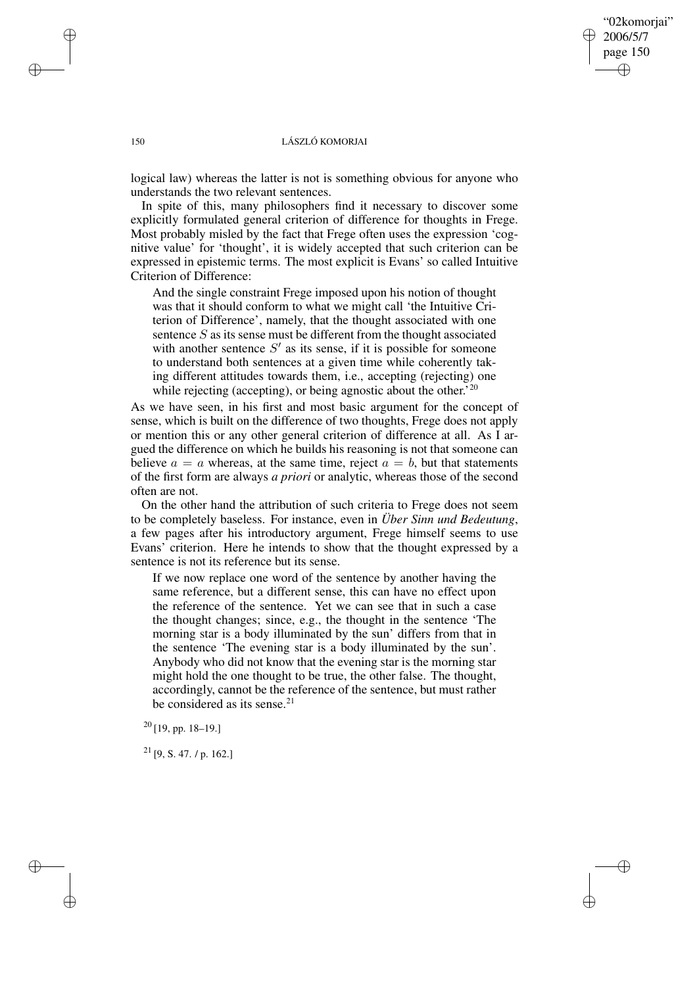# "02komorjai" 2006/5/7 page 150 ✐ ✐

✐

✐

#### 150 LÁSZLÓ KOMORJAI

logical law) whereas the latter is not is something obvious for anyone who understands the two relevant sentences.

In spite of this, many philosophers find it necessary to discover some explicitly formulated general criterion of difference for thoughts in Frege. Most probably misled by the fact that Frege often uses the expression 'cognitive value' for 'thought', it is widely accepted that such criterion can be expressed in epistemic terms. The most explicit is Evans' so called Intuitive Criterion of Difference:

And the single constraint Frege imposed upon his notion of thought was that it should conform to what we might call 'the Intuitive Criterion of Difference', namely, that the thought associated with one sentence S as its sense must be different from the thought associated with another sentence  $S'$  as its sense, if it is possible for someone to understand both sentences at a given time while coherently taking different attitudes towards them, i.e., accepting (rejecting) one while rejecting (accepting), or being agnostic about the other.<sup>20</sup>

As we have seen, in his first and most basic argument for the concept of sense, which is built on the difference of two thoughts, Frege does not apply or mention this or any other general criterion of difference at all. As I argued the difference on which he builds his reasoning is not that someone can believe  $a = a$  whereas, at the same time, reject  $a = b$ , but that statements of the first form are always *a priori* or analytic, whereas those of the second often are not.

On the other hand the attribution of such criteria to Frege does not seem to be completely baseless. For instance, even in *Über Sinn und Bedeutung*, a few pages after his introductory argument, Frege himself seems to use Evans' criterion. Here he intends to show that the thought expressed by a sentence is not its reference but its sense.

If we now replace one word of the sentence by another having the same reference, but a different sense, this can have no effect upon the reference of the sentence. Yet we can see that in such a case the thought changes; since, e.g., the thought in the sentence 'The morning star is a body illuminated by the sun' differs from that in the sentence 'The evening star is a body illuminated by the sun'. Anybody who did not know that the evening star is the morning star might hold the one thought to be true, the other false. The thought, accordingly, cannot be the reference of the sentence, but must rather be considered as its sense.<sup>21</sup>

 $20$  [19, pp. 18–19.]

 $21$  [9, S, 47, / p. 162.]

✐

✐

✐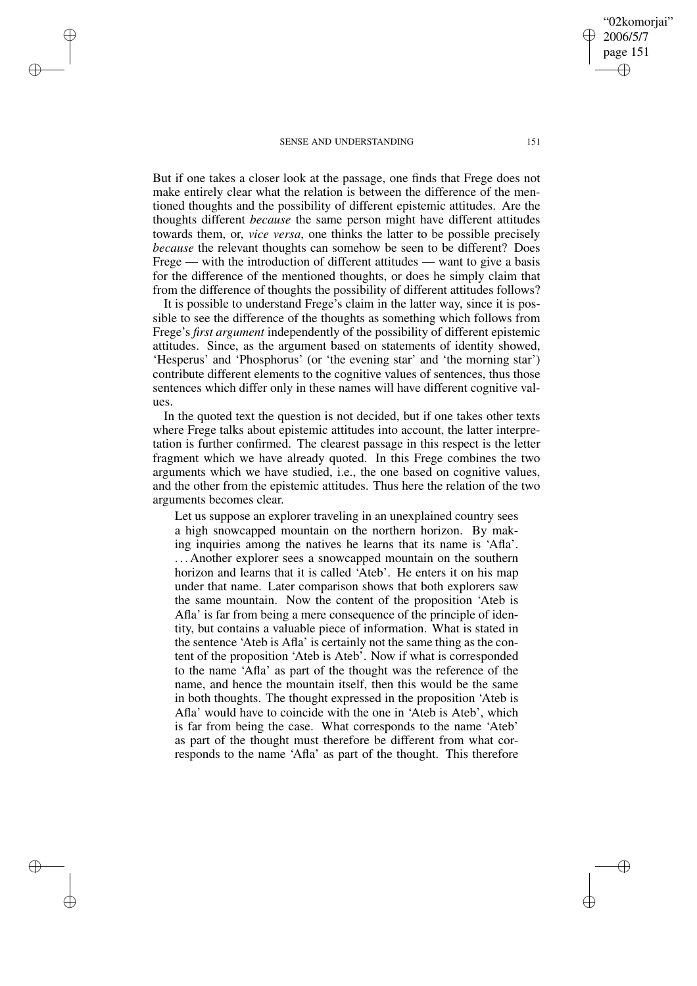✐

✐

✐

✐

But if one takes a closer look at the passage, one finds that Frege does not make entirely clear what the relation is between the difference of the mentioned thoughts and the possibility of different epistemic attitudes. Are the thoughts different *because* the same person might have different attitudes towards them, or, *vice versa*, one thinks the latter to be possible precisely *because* the relevant thoughts can somehow be seen to be different? Does Frege — with the introduction of different attitudes — want to give a basis for the difference of the mentioned thoughts, or does he simply claim that from the difference of thoughts the possibility of different attitudes follows?

It is possible to understand Frege's claim in the latter way, since it is possible to see the difference of the thoughts as something which follows from Frege's *first argument* independently of the possibility of different epistemic attitudes. Since, as the argument based on statements of identity showed, 'Hesperus' and 'Phosphorus' (or 'the evening star' and 'the morning star') contribute different elements to the cognitive values of sentences, thus those sentences which differ only in these names will have different cognitive values.

In the quoted text the question is not decided, but if one takes other texts where Frege talks about epistemic attitudes into account, the latter interpretation is further confirmed. The clearest passage in this respect is the letter fragment which we have already quoted. In this Frege combines the two arguments which we have studied, i.e., the one based on cognitive values, and the other from the epistemic attitudes. Thus here the relation of the two arguments becomes clear.

Let us suppose an explorer traveling in an unexplained country sees a high snowcapped mountain on the northern horizon. By making inquiries among the natives he learns that its name is 'Afla'. . . . Another explorer sees a snowcapped mountain on the southern horizon and learns that it is called 'Ateb'. He enters it on his map under that name. Later comparison shows that both explorers saw the same mountain. Now the content of the proposition 'Ateb is Afla' is far from being a mere consequence of the principle of identity, but contains a valuable piece of information. What is stated in the sentence 'Ateb is Afla' is certainly not the same thing as the content of the proposition 'Ateb is Ateb'. Now if what is corresponded to the name 'Afla' as part of the thought was the reference of the name, and hence the mountain itself, then this would be the same in both thoughts. The thought expressed in the proposition 'Ateb is Afla' would have to coincide with the one in 'Ateb is Ateb', which is far from being the case. What corresponds to the name 'Ateb' as part of the thought must therefore be different from what corresponds to the name 'Afla' as part of the thought. This therefore

'02komoriai" 2006/5/7 page 151 ✐ ✐

✐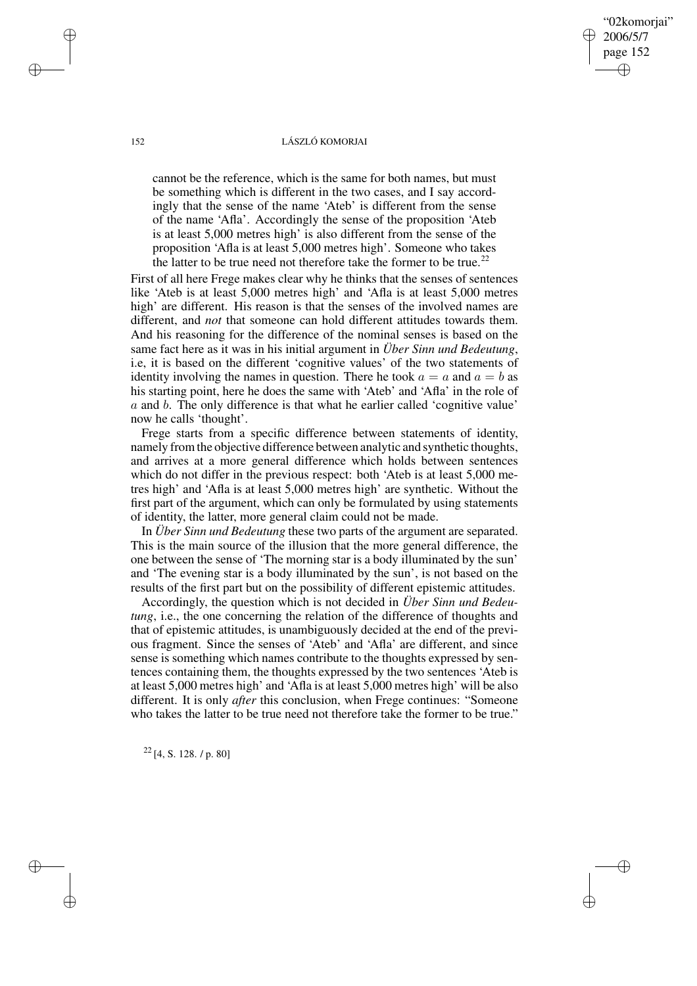#### 152 LÁSZLÓ KOMORJAI

"02komorjai" 2006/5/7 page 152

✐

✐

✐

✐

cannot be the reference, which is the same for both names, but must be something which is different in the two cases, and I say accordingly that the sense of the name 'Ateb' is different from the sense of the name 'Afla'. Accordingly the sense of the proposition 'Ateb is at least 5,000 metres high' is also different from the sense of the proposition 'Afla is at least 5,000 metres high'. Someone who takes the latter to be true need not therefore take the former to be true.<sup>22</sup>

First of all here Frege makes clear why he thinks that the senses of sentences like 'Ateb is at least 5,000 metres high' and 'Afla is at least 5,000 metres high' are different. His reason is that the senses of the involved names are different, and *not* that someone can hold different attitudes towards them. And his reasoning for the difference of the nominal senses is based on the same fact here as it was in his initial argument in *Über Sinn und Bedeutung*, i.e, it is based on the different 'cognitive values' of the two statements of identity involving the names in question. There he took  $a = a$  and  $a = b$  as his starting point, here he does the same with 'Ateb' and 'Afla' in the role of a and b. The only difference is that what he earlier called 'cognitive value' now he calls 'thought'.

Frege starts from a specific difference between statements of identity, namely fromthe objective difference between analytic and synthetic thoughts, and arrives at a more general difference which holds between sentences which do not differ in the previous respect: both 'Ateb is at least 5,000 metres high' and 'Afla is at least 5,000 metres high' are synthetic. Without the first part of the argument, which can only be formulated by using statements of identity, the latter, more general claim could not be made.

In *Über Sinn und Bedeutung* these two parts of the argument are separated. This is the main source of the illusion that the more general difference, the one between the sense of 'The morning star is a body illuminated by the sun' and 'The evening star is a body illuminated by the sun', is not based on the results of the first part but on the possibility of different epistemic attitudes.

Accordingly, the question which is not decided in *Über Sinn und Bedeutung*, i.e., the one concerning the relation of the difference of thoughts and that of epistemic attitudes, is unambiguously decided at the end of the previous fragment. Since the senses of 'Ateb' and 'Afla' are different, and since sense is something which names contribute to the thoughts expressed by sentences containing them, the thoughts expressed by the two sentences 'Ateb is at least 5,000 metres high' and 'Afla is at least 5,000 metres high' will be also different. It is only *after* this conclusion, when Frege continues: "Someone who takes the latter to be true need not therefore take the former to be true."

 $22$  [4, S. 128. / p. 80]

✐

✐

✐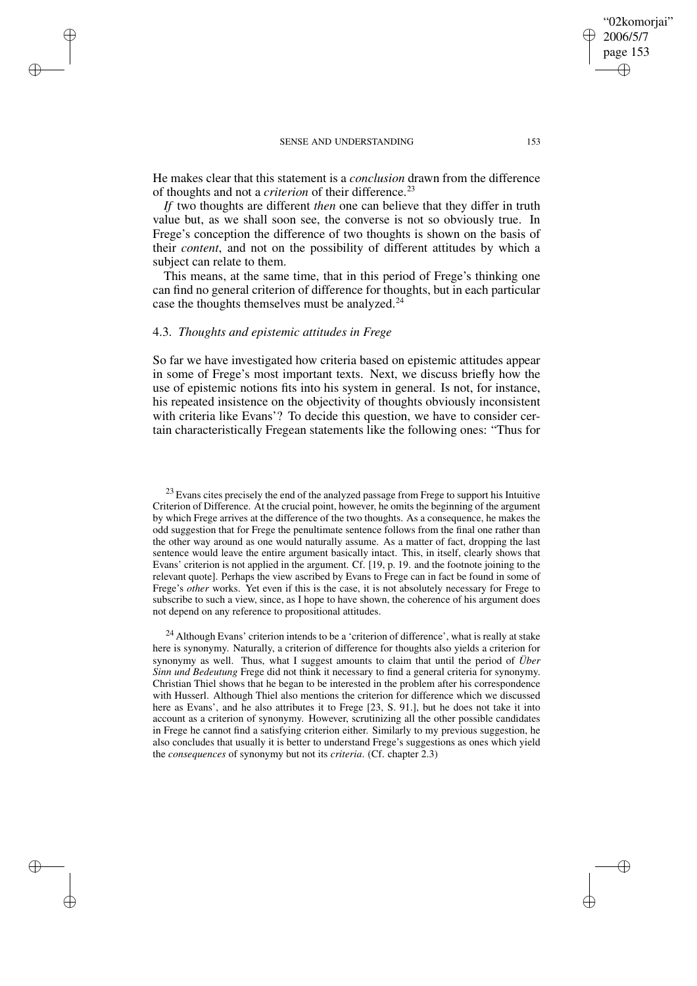"02komorjai" 2006/5/7 page 153 ✐ ✐

✐

✐

He makes clear that this statement is a *conclusion* drawn from the difference of thoughts and not a *criterion* of their difference.<sup>23</sup>

*If* two thoughts are different *then* one can believe that they differ in truth value but, as we shall soon see, the converse is not so obviously true. In Frege's conception the difference of two thoughts is shown on the basis of their *content*, and not on the possibility of different attitudes by which a subject can relate to them.

This means, at the same time, that in this period of Frege's thinking one can find no general criterion of difference for thoughts, but in each particular case the thoughts themselves must be analyzed.<sup>24</sup>

# 4.3. *Thoughts and epistemic attitudes in Frege*

✐

✐

✐

✐

So far we have investigated how criteria based on epistemic attitudes appear in some of Frege's most important texts. Next, we discuss briefly how the use of epistemic notions fits into his system in general. Is not, for instance, his repeated insistence on the objectivity of thoughts obviously inconsistent with criteria like Evans'? To decide this question, we have to consider certain characteristically Fregean statements like the following ones: "Thus for

<sup>&</sup>lt;sup>23</sup> Evans cites precisely the end of the analyzed passage from Frege to support his Intuitive Criterion of Difference. At the crucial point, however, he omits the beginning of the argument by which Frege arrives at the difference of the two thoughts. As a consequence, he makes the odd suggestion that for Frege the penultimate sentence follows from the final one rather than the other way around as one would naturally assume. As a matter of fact, dropping the last sentence would leave the entire argument basically intact. This, in itself, clearly shows that Evans' criterion is not applied in the argument. Cf. [19, p. 19. and the footnote joining to the relevant quote]. Perhaps the view ascribed by Evans to Frege can in fact be found in some of Frege's *other* works. Yet even if this is the case, it is not absolutely necessary for Frege to subscribe to such a view, since, as I hope to have shown, the coherence of his argument does not depend on any reference to propositional attitudes.

 $24$  Although Evans' criterion intends to be a 'criterion of difference', what is really at stake here is synonymy. Naturally, a criterion of difference for thoughts also yields a criterion for synonymy as well. Thus, what I suggest amounts to claim that until the period of *Über Sinn und Bedeutung* Frege did not think it necessary to find a general criteria for synonymy. Christian Thiel shows that he began to be interested in the problem after his correspondence with Husserl. Although Thiel also mentions the criterion for difference which we discussed here as Evans', and he also attributes it to Frege [23, S. 91.], but he does not take it into account as a criterion of synonymy. However, scrutinizing all the other possible candidates in Frege he cannot find a satisfying criterion either. Similarly to my previous suggestion, he also concludes that usually it is better to understand Frege's suggestions as ones which yield the *consequences* of synonymy but not its *criteria*. (Cf. chapter 2.3)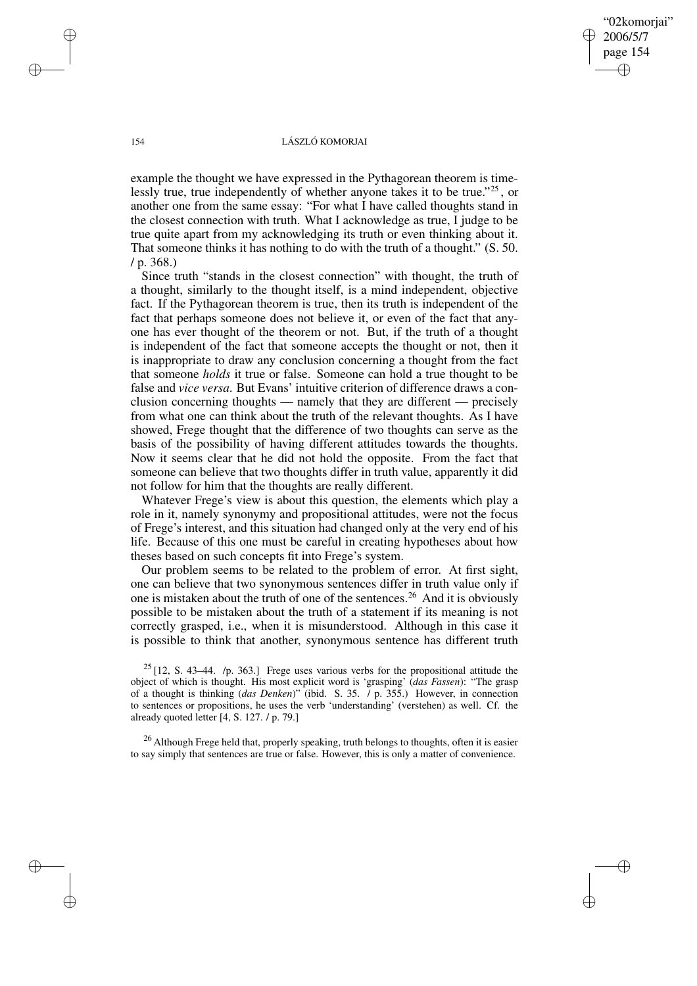"02komorjai" 2006/5/7 page 154 ✐ ✐

✐

✐

#### 154 LÁSZLÓ KOMORJAI

example the thought we have expressed in the Pythagorean theorem is timelessly true, true independently of whether anyone takes it to be true."<sup>25</sup>, or another one from the same essay: "For what I have called thoughts stand in the closest connection with truth. What I acknowledge as true, I judge to be true quite apart from my acknowledging its truth or even thinking about it. That someone thinks it has nothing to do with the truth of a thought." (S. 50. / p. 368.)

Since truth "stands in the closest connection" with thought, the truth of a thought, similarly to the thought itself, is a mind independent, objective fact. If the Pythagorean theorem is true, then its truth is independent of the fact that perhaps someone does not believe it, or even of the fact that anyone has ever thought of the theorem or not. But, if the truth of a thought is independent of the fact that someone accepts the thought or not, then it is inappropriate to draw any conclusion concerning a thought from the fact that someone *holds* it true or false. Someone can hold a true thought to be false and *vice versa*. But Evans' intuitive criterion of difference draws a conclusion concerning thoughts — namely that they are different — precisely from what one can think about the truth of the relevant thoughts. As I have showed, Frege thought that the difference of two thoughts can serve as the basis of the possibility of having different attitudes towards the thoughts. Now it seems clear that he did not hold the opposite. From the fact that someone can believe that two thoughts differ in truth value, apparently it did not follow for him that the thoughts are really different.

Whatever Frege's view is about this question, the elements which play a role in it, namely synonymy and propositional attitudes, were not the focus of Frege's interest, and this situation had changed only at the very end of his life. Because of this one must be careful in creating hypotheses about how theses based on such concepts fit into Frege's system.

Our problem seems to be related to the problem of error. At first sight, one can believe that two synonymous sentences differ in truth value only if one is mistaken about the truth of one of the sentences.<sup>26</sup> And it is obviously possible to be mistaken about the truth of a statement if its meaning is not correctly grasped, i.e., when it is misunderstood. Although in this case it is possible to think that another, synonymous sentence has different truth

 $25$  [12, S. 43–44. /p. 363.] Frege uses various verbs for the propositional attitude the object of which is thought. His most explicit word is 'grasping' (*das Fassen*): "The grasp of a thought is thinking (*das Denken*)" (ibid. S. 35. / p. 355.) However, in connection to sentences or propositions, he uses the verb 'understanding' (verstehen) as well. Cf. the already quoted letter [4, S. 127. / p. 79.]

<sup>26</sup> Although Frege held that, properly speaking, truth belongs to thoughts, often it is easier to say simply that sentences are true or false. However, this is only a matter of convenience.

✐

✐

✐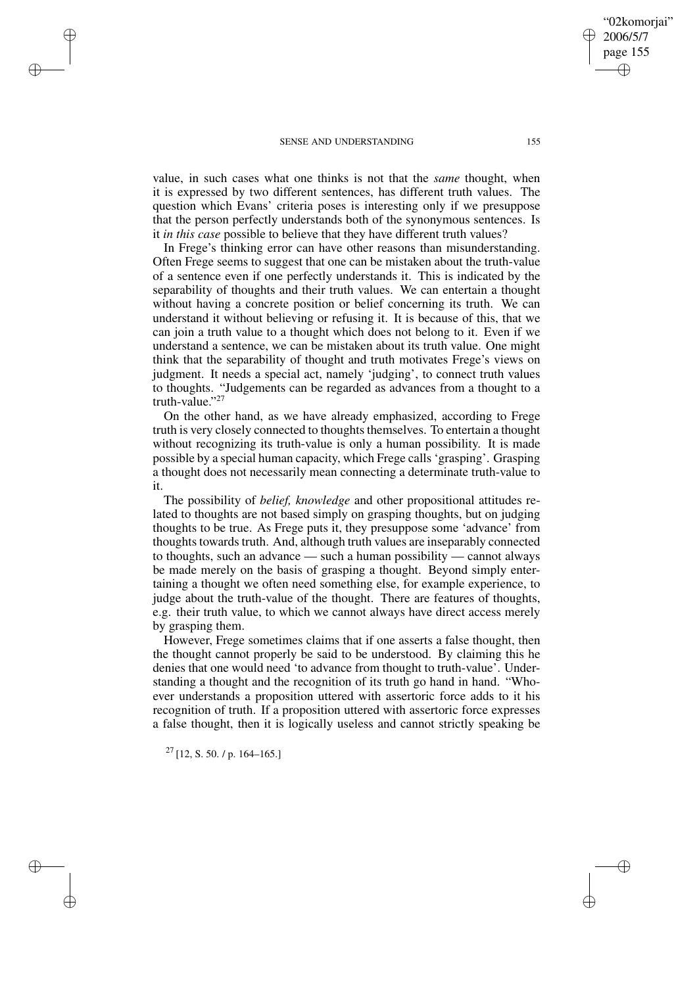value, in such cases what one thinks is not that the *same* thought, when it is expressed by two different sentences, has different truth values. The question which Evans' criteria poses is interesting only if we presuppose that the person perfectly understands both of the synonymous sentences. Is it *in this case* possible to believe that they have different truth values?

In Frege's thinking error can have other reasons than misunderstanding. Often Frege seems to suggest that one can be mistaken about the truth-value of a sentence even if one perfectly understands it. This is indicated by the separability of thoughts and their truth values. We can entertain a thought without having a concrete position or belief concerning its truth. We can understand it without believing or refusing it. It is because of this, that we can join a truth value to a thought which does not belong to it. Even if we understand a sentence, we can be mistaken about its truth value. One might think that the separability of thought and truth motivates Frege's views on judgment. It needs a special act, namely 'judging', to connect truth values to thoughts. "Judgements can be regarded as advances from a thought to a truth-value." 27

On the other hand, as we have already emphasized, according to Frege truth is very closely connected to thoughtsthemselves. To entertain a thought without recognizing its truth-value is only a human possibility. It is made possible by a special human capacity, which Frege calls 'grasping'. Grasping a thought does not necessarily mean connecting a determinate truth-value to it.

The possibility of *belief, knowledge* and other propositional attitudes related to thoughts are not based simply on grasping thoughts, but on judging thoughts to be true. As Frege puts it, they presuppose some 'advance' from thoughts towards truth. And, although truth values are inseparably connected to thoughts, such an advance — such a human possibility — cannot always be made merely on the basis of grasping a thought. Beyond simply entertaining a thought we often need something else, for example experience, to judge about the truth-value of the thought. There are features of thoughts, e.g. their truth value, to which we cannot always have direct access merely by grasping them.

However, Frege sometimes claims that if one asserts a false thought, then the thought cannot properly be said to be understood. By claiming this he denies that one would need 'to advance from thought to truth-value'. Understanding a thought and the recognition of its truth go hand in hand. "Whoever understands a proposition uttered with assertoric force adds to it his recognition of truth. If a proposition uttered with assertoric force expresses a false thought, then it is logically useless and cannot strictly speaking be

 $^{27}$  [12, S. 50. / p. 164–165.]

✐

✐

✐

✐

"02komorjai" 2006/5/7 page 155

✐

✐

✐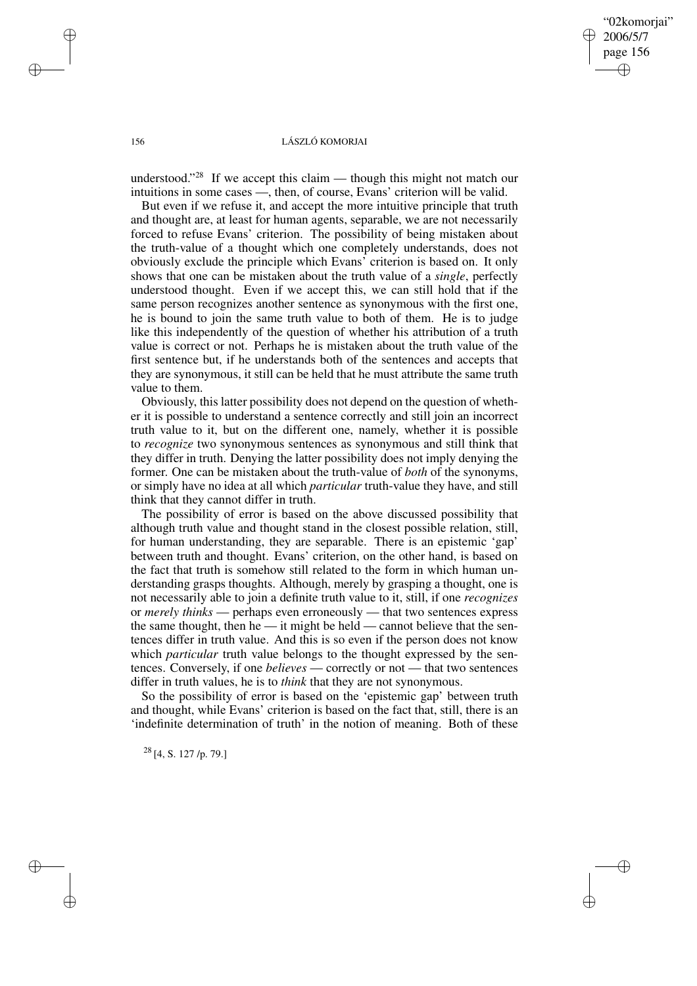"02komorjai" 2006/5/7 page 156 ✐ ✐

✐

✐

## 156 LÁSZLÓ KOMORJAI

understood."<sup>28</sup> If we accept this claim — though this might not match our intuitions in some cases —, then, of course, Evans' criterion will be valid.

But even if we refuse it, and accept the more intuitive principle that truth and thought are, at least for human agents, separable, we are not necessarily forced to refuse Evans' criterion. The possibility of being mistaken about the truth-value of a thought which one completely understands, does not obviously exclude the principle which Evans' criterion is based on. It only shows that one can be mistaken about the truth value of a *single*, perfectly understood thought. Even if we accept this, we can still hold that if the same person recognizes another sentence as synonymous with the first one, he is bound to join the same truth value to both of them. He is to judge like this independently of the question of whether his attribution of a truth value is correct or not. Perhaps he is mistaken about the truth value of the first sentence but, if he understands both of the sentences and accepts that they are synonymous, it still can be held that he must attribute the same truth value to them.

Obviously, this latter possibility does not depend on the question of whether it is possible to understand a sentence correctly and still join an incorrect truth value to it, but on the different one, namely, whether it is possible to *recognize* two synonymous sentences as synonymous and still think that they differ in truth. Denying the latter possibility does not imply denying the former. One can be mistaken about the truth-value of *both* of the synonyms, or simply have no idea at all which *particular* truth-value they have, and still think that they cannot differ in truth.

The possibility of error is based on the above discussed possibility that although truth value and thought stand in the closest possible relation, still, for human understanding, they are separable. There is an epistemic 'gap' between truth and thought. Evans' criterion, on the other hand, is based on the fact that truth is somehow still related to the form in which human understanding grasps thoughts. Although, merely by grasping a thought, one is not necessarily able to join a definite truth value to it, still, if one *recognizes* or *merely thinks* — perhaps even erroneously — that two sentences express the same thought, then he  $-$  it might be held  $-$  cannot believe that the sentences differ in truth value. And this is so even if the person does not know which *particular* truth value belongs to the thought expressed by the sentences. Conversely, if one *believes* — correctly or not — that two sentences differ in truth values, he is to *think* that they are not synonymous.

So the possibility of error is based on the 'epistemic gap' between truth and thought, while Evans' criterion is based on the fact that, still, there is an 'indefinite determination of truth' in the notion of meaning. Both of these

 $^{28}$  [4, S, 127 /p, 79.]

✐

✐

✐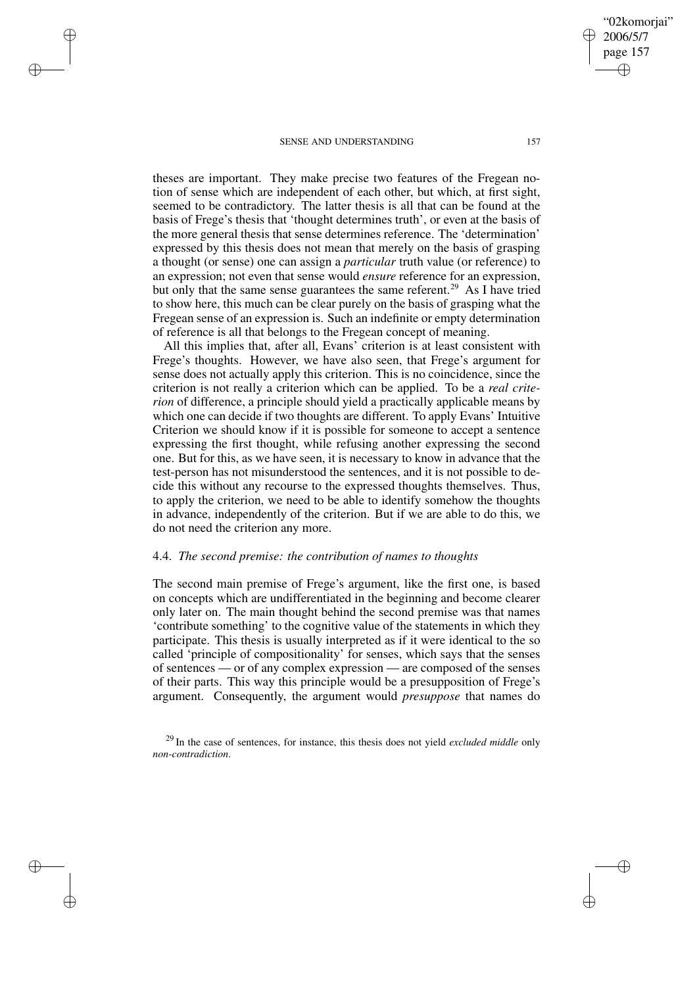✐

✐

✐

✐

theses are important. They make precise two features of the Fregean notion of sense which are independent of each other, but which, at first sight, seemed to be contradictory. The latter thesis is all that can be found at the basis of Frege's thesis that 'thought determines truth', or even at the basis of the more general thesis that sense determines reference. The 'determination' expressed by this thesis does not mean that merely on the basis of grasping a thought (or sense) one can assign a *particular* truth value (or reference) to an expression; not even that sense would *ensure* reference for an expression, but only that the same sense guarantees the same referent.<sup>29</sup> As I have tried to show here, this much can be clear purely on the basis of grasping what the Fregean sense of an expression is. Such an indefinite or empty determination of reference is all that belongs to the Fregean concept of meaning.

All this implies that, after all, Evans' criterion is at least consistent with Frege's thoughts. However, we have also seen, that Frege's argument for sense does not actually apply this criterion. This is no coincidence, since the criterion is not really a criterion which can be applied. To be a *real criterion* of difference, a principle should yield a practically applicable means by which one can decide if two thoughts are different. To apply Evans' Intuitive Criterion we should know if it is possible for someone to accept a sentence expressing the first thought, while refusing another expressing the second one. But for this, as we have seen, it is necessary to know in advance that the test-person has not misunderstood the sentences, and it is not possible to decide this without any recourse to the expressed thoughts themselves. Thus, to apply the criterion, we need to be able to identify somehow the thoughts in advance, independently of the criterion. But if we are able to do this, we do not need the criterion any more.

# 4.4. *The second premise: the contribution of names to thoughts*

The second main premise of Frege's argument, like the first one, is based on concepts which are undifferentiated in the beginning and become clearer only later on. The main thought behind the second premise was that names 'contribute something' to the cognitive value of the statements in which they participate. This thesis is usually interpreted as if it were identical to the so called 'principle of compositionality' for senses, which says that the senses of sentences — or of any complex expression — are composed of the senses of their parts. This way this principle would be a presupposition of Frege's argument. Consequently, the argument would *presuppose* that names do

"02komorjai" 2006/5/7 page 157

✐

✐

✐

<sup>29</sup> In the case of sentences, for instance, this thesis does not yield *excluded middle* only *non-contradiction*.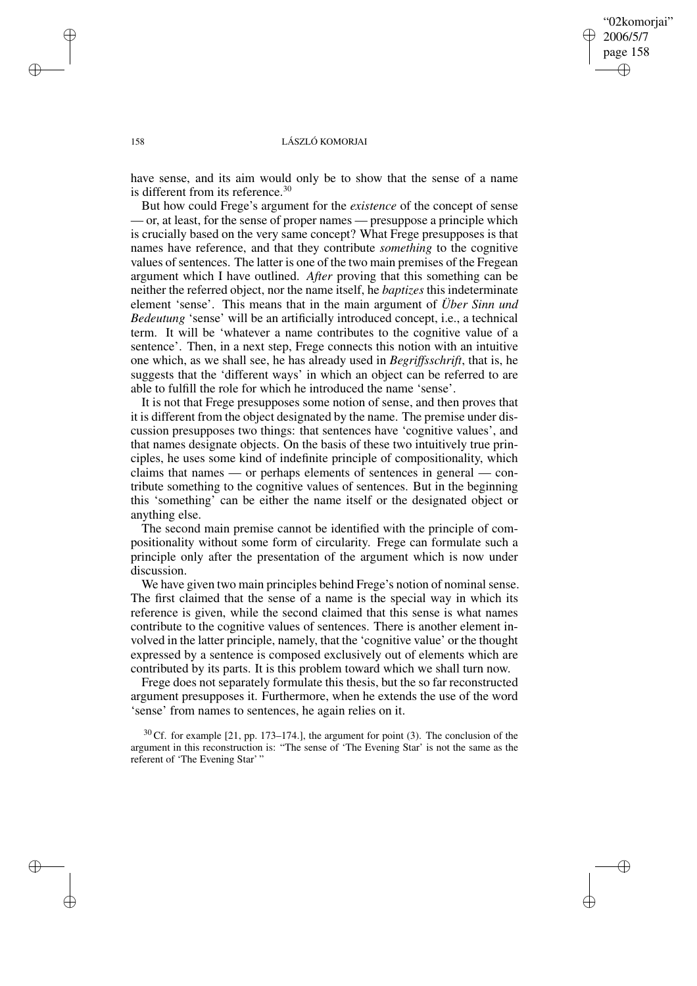✐

✐

#### 158 LÁSZLÓ KOMORJAI

have sense, and its aim would only be to show that the sense of a name is different from its reference.<sup>30</sup>

But how could Frege's argument for the *existence* of the concept of sense — or, at least, for the sense of proper names — presuppose a principle which is crucially based on the very same concept? What Frege presupposes is that names have reference, and that they contribute *something* to the cognitive values of sentences. The latter is one of the two main premises of the Fregean argument which I have outlined. *After* proving that this something can be neither the referred object, nor the name itself, he *baptizes* this indeterminate element 'sense'. This means that in the main argument of *Über Sinn und Bedeutung* 'sense' will be an artificially introduced concept, i.e., a technical term. It will be 'whatever a name contributes to the cognitive value of a sentence'. Then, in a next step, Frege connects this notion with an intuitive one which, as we shall see, he has already used in *Begriffsschrift*, that is, he suggests that the 'different ways' in which an object can be referred to are able to fulfill the role for which he introduced the name 'sense'.

It is not that Frege presupposes some notion of sense, and then proves that it is different from the object designated by the name. The premise under discussion presupposes two things: that sentences have 'cognitive values', and that names designate objects. On the basis of these two intuitively true principles, he uses some kind of indefinite principle of compositionality, which claims that names — or perhaps elements of sentences in general — contribute something to the cognitive values of sentences. But in the beginning this 'something' can be either the name itself or the designated object or anything else.

The second main premise cannot be identified with the principle of compositionality without some form of circularity. Frege can formulate such a principle only after the presentation of the argument which is now under discussion.

We have given two main principles behind Frege's notion of nominal sense. The first claimed that the sense of a name is the special way in which its reference is given, while the second claimed that this sense is what names contribute to the cognitive values of sentences. There is another element involved in the latter principle, namely, that the 'cognitive value' or the thought expressed by a sentence is composed exclusively out of elements which are contributed by its parts. It is this problem toward which we shall turn now.

Frege does not separately formulate this thesis, but the so far reconstructed argument presupposes it. Furthermore, when he extends the use of the word 'sense' from names to sentences, he again relies on it.

 $30$  Cf. for example [21, pp. 173–174.], the argument for point (3). The conclusion of the argument in this reconstruction is: "The sense of 'The Evening Star' is not the same as the referent of 'The Evening Star' "

✐

✐

✐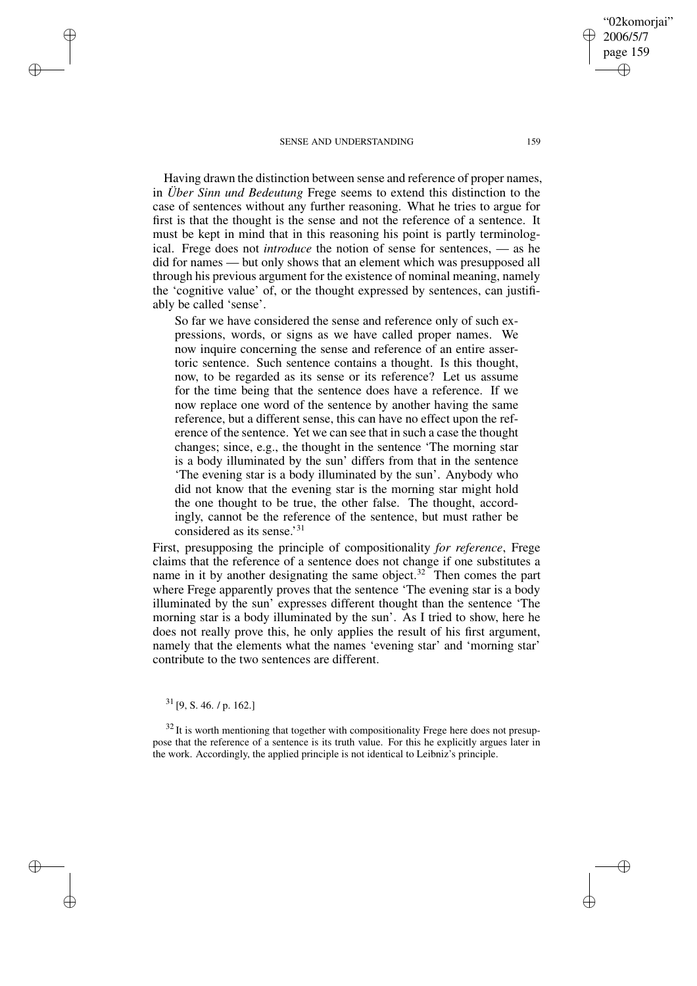Having drawn the distinction between sense and reference of proper names, in *Über Sinn und Bedeutung* Frege seems to extend this distinction to the case of sentences without any further reasoning. What he tries to argue for first is that the thought is the sense and not the reference of a sentence. It must be kept in mind that in this reasoning his point is partly terminological. Frege does not *introduce* the notion of sense for sentences, — as he did for names — but only shows that an element which was presupposed all through his previous argument for the existence of nominal meaning, namely the 'cognitive value' of, or the thought expressed by sentences, can justifiably be called 'sense'.

So far we have considered the sense and reference only of such expressions, words, or signs as we have called proper names. We now inquire concerning the sense and reference of an entire assertoric sentence. Such sentence contains a thought. Is this thought, now, to be regarded as its sense or its reference? Let us assume for the time being that the sentence does have a reference. If we now replace one word of the sentence by another having the same reference, but a different sense, this can have no effect upon the reference of the sentence. Yet we can see that in such a case the thought changes; since, e.g., the thought in the sentence 'The morning star is a body illuminated by the sun' differs from that in the sentence 'The evening star is a body illuminated by the sun'. Anybody who did not know that the evening star is the morning star might hold the one thought to be true, the other false. The thought, accordingly, cannot be the reference of the sentence, but must rather be considered as its sense.<sup>'31</sup>

First, presupposing the principle of compositionality *for reference*, Frege claims that the reference of a sentence does not change if one substitutes a name in it by another designating the same object. $32$  Then comes the part where Frege apparently proves that the sentence 'The evening star is a body illuminated by the sun' expresses different thought than the sentence 'The morning star is a body illuminated by the sun'. As I tried to show, here he does not really prove this, he only applies the result of his first argument, namely that the elements what the names 'evening star' and 'morning star' contribute to the two sentences are different.

# $31$  [9, S. 46. / p. 162.]

✐

✐

✐

✐

 $32$  It is worth mentioning that together with compositionality Frege here does not presuppose that the reference of a sentence is its truth value. For this he explicitly argues later in the work. Accordingly, the applied principle is not identical to Leibniz's principle.

"02komorjai" 2006/5/7 page 159

✐

✐

✐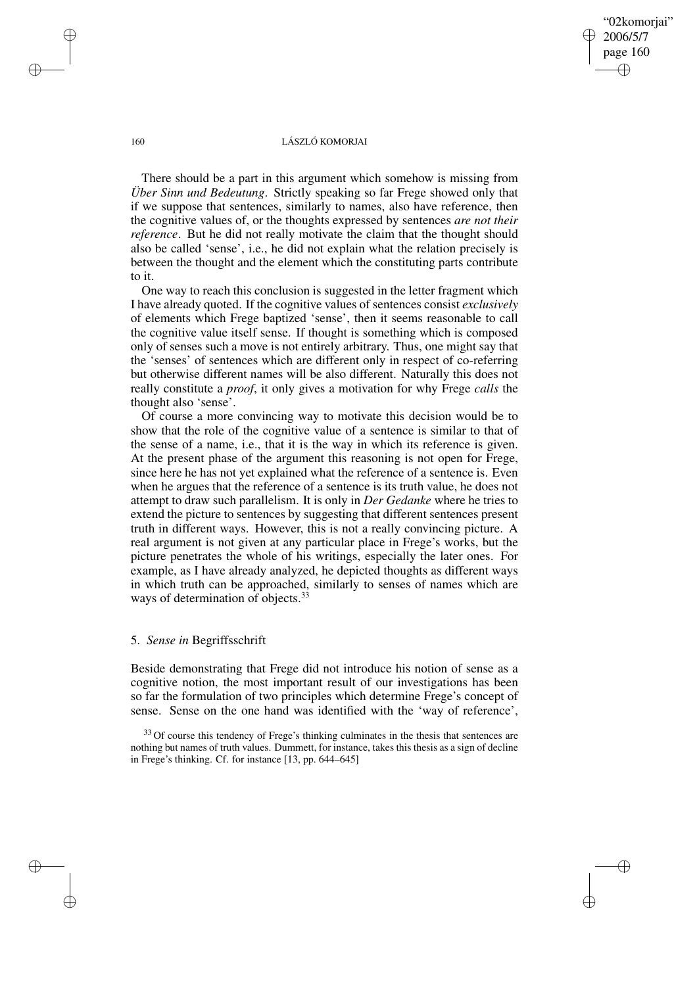✐

✐

#### 160 LÁSZLÓ KOMORJAI

There should be a part in this argument which somehow is missing from *Über Sinn und Bedeutung*. Strictly speaking so far Frege showed only that if we suppose that sentences, similarly to names, also have reference, then the cognitive values of, or the thoughts expressed by sentences *are not their reference*. But he did not really motivate the claim that the thought should also be called 'sense', i.e., he did not explain what the relation precisely is between the thought and the element which the constituting parts contribute to it.

One way to reach this conclusion is suggested in the letter fragment which I have already quoted. If the cognitive values of sentences consist *exclusively* of elements which Frege baptized 'sense', then it seems reasonable to call the cognitive value itself sense. If thought is something which is composed only of senses such a move is not entirely arbitrary. Thus, one might say that the 'senses' of sentences which are different only in respect of co-referring but otherwise different names will be also different. Naturally this does not really constitute a *proof*, it only gives a motivation for why Frege *calls* the thought also 'sense'.

Of course a more convincing way to motivate this decision would be to show that the role of the cognitive value of a sentence is similar to that of the sense of a name, i.e., that it is the way in which its reference is given. At the present phase of the argument this reasoning is not open for Frege, since here he has not yet explained what the reference of a sentence is. Even when he argues that the reference of a sentence is its truth value, he does not attempt to draw such parallelism. It is only in *Der Gedanke* where he tries to extend the picture to sentences by suggesting that different sentences present truth in different ways. However, this is not a really convincing picture. A real argument is not given at any particular place in Frege's works, but the picture penetrates the whole of his writings, especially the later ones. For example, as I have already analyzed, he depicted thoughts as different ways in which truth can be approached, similarly to senses of names which are ways of determination of objects.<sup>33</sup>

## 5. *Sense in* Begriffsschrift

Beside demonstrating that Frege did not introduce his notion of sense as a cognitive notion, the most important result of our investigations has been so far the formulation of two principles which determine Frege's concept of sense. Sense on the one hand was identified with the 'way of reference',

✐

✐

✐

 $33$  Of course this tendency of Frege's thinking culminates in the thesis that sentences are nothing but names of truth values. Dummett, for instance, takes this thesis as a sign of decline in Frege's thinking. Cf. for instance [13, pp. 644–645]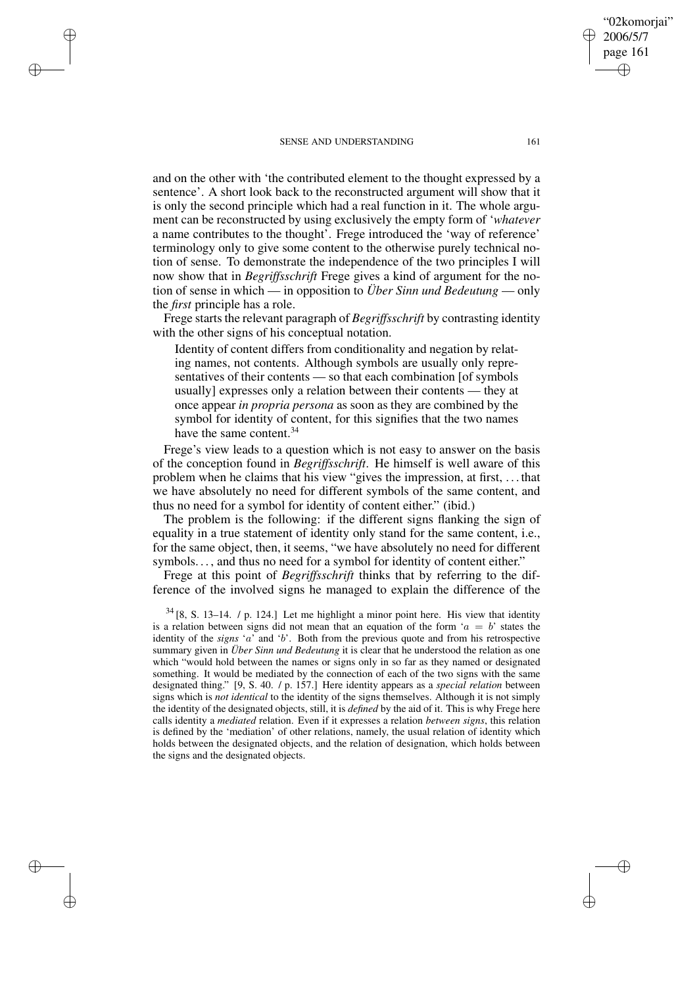✐

✐

✐

✐

and on the other with 'the contributed element to the thought expressed by a sentence'. A short look back to the reconstructed argument will show that it is only the second principle which had a real function in it. The whole argument can be reconstructed by using exclusively the empty form of '*whatever* a name contributes to the thought'. Frege introduced the 'way of reference' terminology only to give some content to the otherwise purely technical notion of sense. To demonstrate the independence of the two principles I will now show that in *Begriffsschrift* Frege gives a kind of argument for the notion of sense in which — in opposition to *Über Sinn und Bedeutung* — only the *first* principle has a role.

Frege starts the relevant paragraph of *Begriffsschrift* by contrasting identity with the other signs of his conceptual notation.

Identity of content differs from conditionality and negation by relating names, not contents. Although symbols are usually only representatives of their contents — so that each combination [of symbols usually] expresses only a relation between their contents — they at once appear *in propria persona* as soon as they are combined by the symbol for identity of content, for this signifies that the two names have the same content.<sup>34</sup>

Frege's view leads to a question which is not easy to answer on the basis of the conception found in *Begriffsschrift*. He himself is well aware of this problem when he claims that his view "gives the impression, at first, . . . that we have absolutely no need for different symbols of the same content, and thus no need for a symbol for identity of content either." (ibid.)

The problem is the following: if the different signs flanking the sign of equality in a true statement of identity only stand for the same content, i.e., for the same object, then, it seems, "we have absolutely no need for different symbols..., and thus no need for a symbol for identity of content either."

Frege at this point of *Begriffsschrift* thinks that by referring to the difference of the involved signs he managed to explain the difference of the

"02komorjai" 2006/5/7 page 161

✐

✐

✐

 $34$  [8, S. 13–14. / p. 124.] Let me highlight a minor point here. His view that identity is a relation between signs did not mean that an equation of the form ' $a = b$ ' states the identity of the *signs* 'a' and 'b'. Both from the previous quote and from his retrospective summary given in *Über Sinn und Bedeutung* it is clear that he understood the relation as one which "would hold between the names or signs only in so far as they named or designated something. It would be mediated by the connection of each of the two signs with the same designated thing." [9, S. 40. / p. 157.] Here identity appears as a *special relation* between signs which is *not identical* to the identity of the signs themselves. Although it is not simply the identity of the designated objects, still, it is *defined* by the aid of it. This is why Frege here calls identity a *mediated* relation. Even if it expresses a relation *between signs*, this relation is defined by the 'mediation' of other relations, namely, the usual relation of identity which holds between the designated objects, and the relation of designation, which holds between the signs and the designated objects.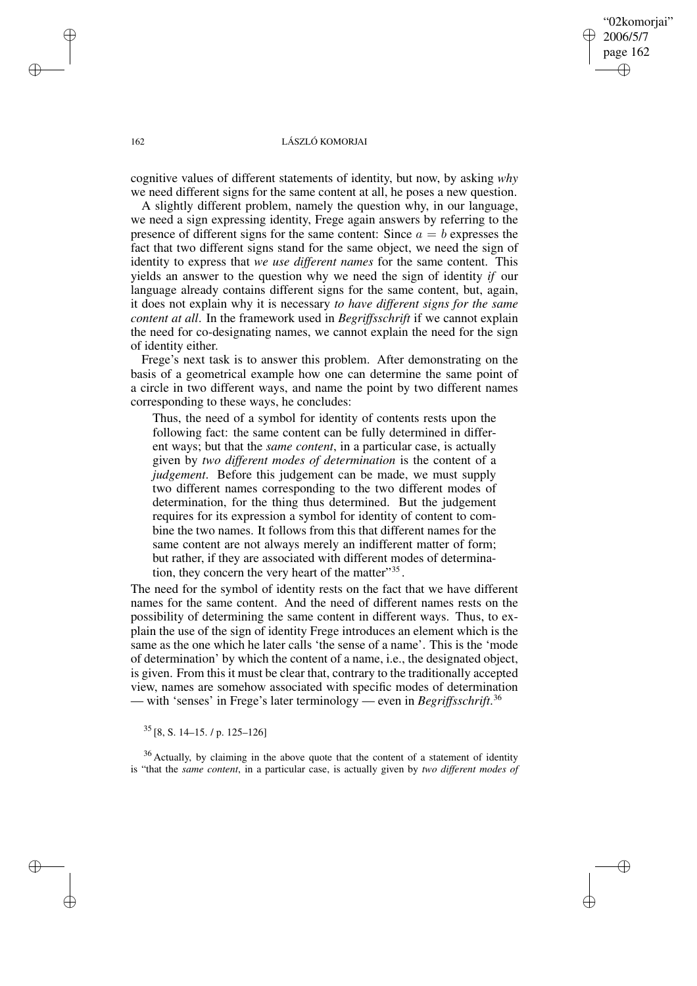"02komorjai" 2006/5/7 page 162 ✐ ✐

✐

✐

### 162 LÁSZLÓ KOMORJAI

cognitive values of different statements of identity, but now, by asking *why* we need different signs for the same content at all, he poses a new question.

A slightly different problem, namely the question why, in our language, we need a sign expressing identity, Frege again answers by referring to the presence of different signs for the same content: Since  $a = b$  expresses the fact that two different signs stand for the same object, we need the sign of identity to express that *we use different names* for the same content. This yields an answer to the question why we need the sign of identity *if* our language already contains different signs for the same content, but, again, it does not explain why it is necessary *to have different signs for the same content at all*. In the framework used in *Begriffsschrift* if we cannot explain the need for co-designating names, we cannot explain the need for the sign of identity either.

Frege's next task is to answer this problem. After demonstrating on the basis of a geometrical example how one can determine the same point of a circle in two different ways, and name the point by two different names corresponding to these ways, he concludes:

Thus, the need of a symbol for identity of contents rests upon the following fact: the same content can be fully determined in different ways; but that the *same content*, in a particular case, is actually given by *two different modes of determination* is the content of a *judgement*. Before this judgement can be made, we must supply two different names corresponding to the two different modes of determination, for the thing thus determined. But the judgement requires for its expression a symbol for identity of content to combine the two names. It follows from this that different names for the same content are not always merely an indifferent matter of form; but rather, if they are associated with different modes of determination, they concern the very heart of the matter"<sup>35</sup>.

The need for the symbol of identity rests on the fact that we have different names for the same content. And the need of different names rests on the possibility of determining the same content in different ways. Thus, to explain the use of the sign of identity Frege introduces an element which is the same as the one which he later calls 'the sense of a name'. This is the 'mode of determination' by which the content of a name, i.e., the designated object, is given. From this it must be clear that, contrary to the traditionally accepted view, names are somehow associated with specific modes of determination — with 'senses' in Frege's later terminology — even in *Begriffsschrift*. 36

 $35$  [8, S, 14–15, / p. 125–126]

<sup>36</sup> Actually, by claiming in the above quote that the content of a statement of identity is "that the *same content*, in a particular case, is actually given by *two different modes of*

✐

✐

✐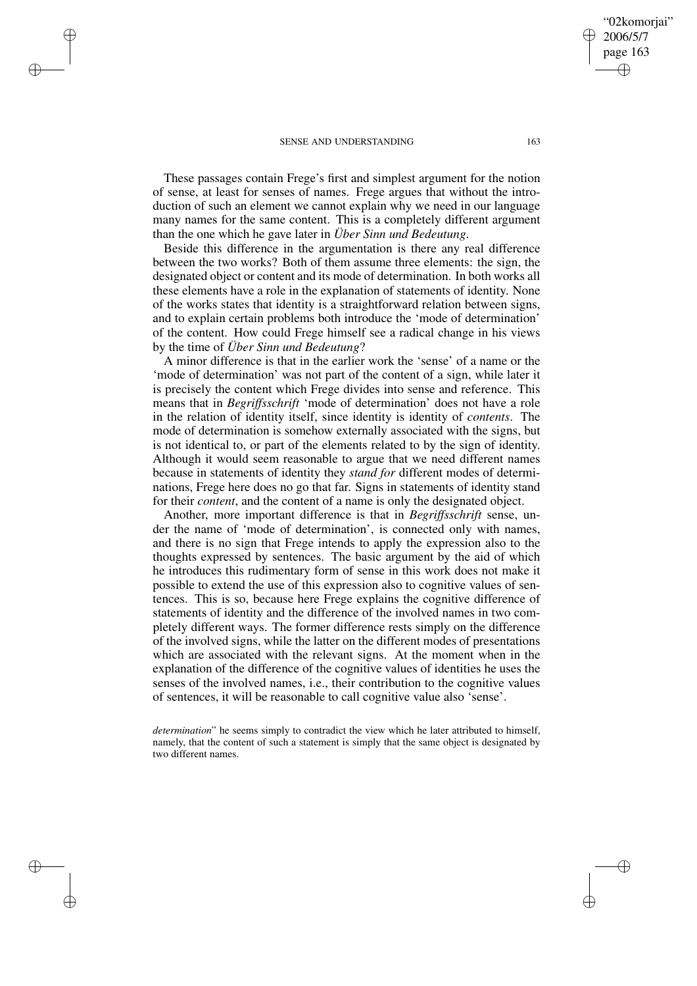✐

✐

✐

✐

These passages contain Frege's first and simplest argument for the notion of sense, at least for senses of names. Frege argues that without the introduction of such an element we cannot explain why we need in our language many names for the same content. This is a completely different argument than the one which he gave later in *Über Sinn und Bedeutung*.

Beside this difference in the argumentation is there any real difference between the two works? Both of them assume three elements: the sign, the designated object or content and its mode of determination. In both works all these elements have a role in the explanation of statements of identity. None of the works states that identity is a straightforward relation between signs, and to explain certain problems both introduce the 'mode of determination' of the content. How could Frege himself see a radical change in his views by the time of *Über Sinn und Bedeutung*?

A minor difference is that in the earlier work the 'sense' of a name or the 'mode of determination' was not part of the content of a sign, while later it is precisely the content which Frege divides into sense and reference. This means that in *Begriffsschrift* 'mode of determination' does not have a role in the relation of identity itself, since identity is identity of *contents*. The mode of determination is somehow externally associated with the signs, but is not identical to, or part of the elements related to by the sign of identity. Although it would seem reasonable to argue that we need different names because in statements of identity they *stand for* different modes of determinations, Frege here does no go that far. Signs in statements of identity stand for their *content*, and the content of a name is only the designated object.

Another, more important difference is that in *Begriffsschrift* sense, under the name of 'mode of determination', is connected only with names, and there is no sign that Frege intends to apply the expression also to the thoughts expressed by sentences. The basic argument by the aid of which he introduces this rudimentary form of sense in this work does not make it possible to extend the use of this expression also to cognitive values of sentences. This is so, because here Frege explains the cognitive difference of statements of identity and the difference of the involved names in two completely different ways. The former difference rests simply on the difference of the involved signs, while the latter on the different modes of presentations which are associated with the relevant signs. At the moment when in the explanation of the difference of the cognitive values of identities he uses the senses of the involved names, i.e., their contribution to the cognitive values of sentences, it will be reasonable to call cognitive value also 'sense'.

*determination*" he seems simply to contradict the view which he later attributed to himself, namely, that the content of such a statement is simply that the same object is designated by two different names.

"02komorjai" 2006/5/7 page 163

✐

✐

✐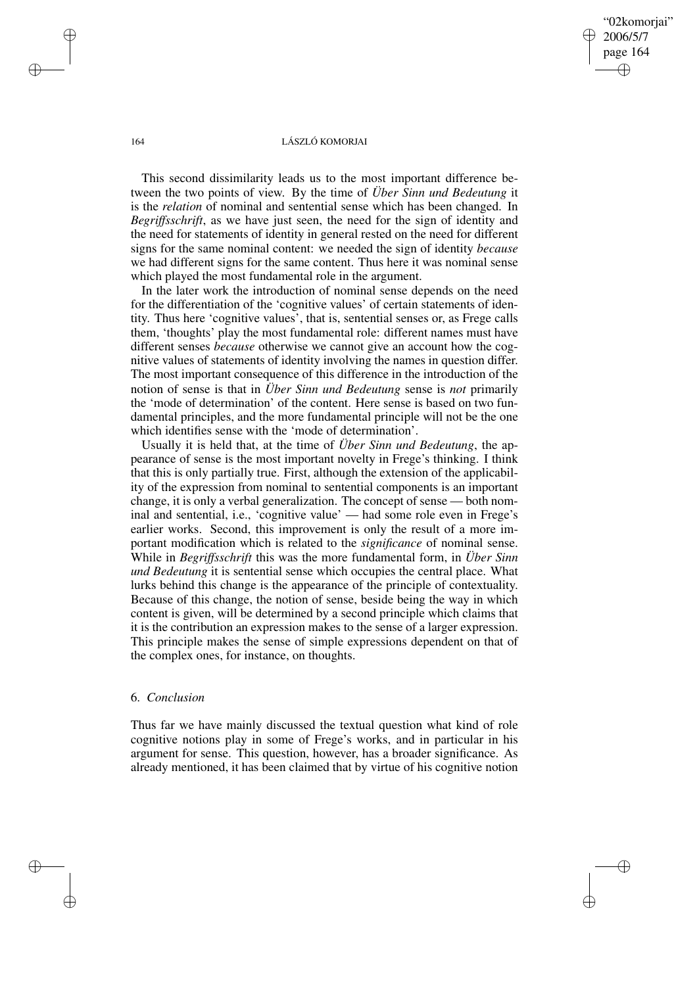"02komorjai" 2006/5/7 page 164 ✐ ✐

✐

✐

#### 164 LÁSZLÓ KOMORJAI

This second dissimilarity leads us to the most important difference between the two points of view. By the time of *Über Sinn und Bedeutung* it is the *relation* of nominal and sentential sense which has been changed. In *Begriffsschrift*, as we have just seen, the need for the sign of identity and the need for statements of identity in general rested on the need for different signs for the same nominal content: we needed the sign of identity *because* we had different signs for the same content. Thus here it was nominal sense which played the most fundamental role in the argument.

In the later work the introduction of nominal sense depends on the need for the differentiation of the 'cognitive values' of certain statements of identity. Thus here 'cognitive values', that is, sentential senses or, as Frege calls them, 'thoughts' play the most fundamental role: different names must have different senses *because* otherwise we cannot give an account how the cognitive values of statements of identity involving the names in question differ. The most important consequence of this difference in the introduction of the notion of sense is that in *Über Sinn und Bedeutung* sense is *not* primarily the 'mode of determination' of the content. Here sense is based on two fundamental principles, and the more fundamental principle will not be the one which identifies sense with the 'mode of determination'.

Usually it is held that, at the time of *Über Sinn und Bedeutung*, the appearance of sense is the most important novelty in Frege's thinking. I think that this is only partially true. First, although the extension of the applicability of the expression from nominal to sentential components is an important change, it is only a verbal generalization. The concept of sense — both nominal and sentential, i.e., 'cognitive value' — had some role even in Frege's earlier works. Second, this improvement is only the result of a more important modification which is related to the *significance* of nominal sense. While in *Begriffsschrift* this was the more fundamental form, in *Über Sinn und Bedeutung* it is sentential sense which occupies the central place. What lurks behind this change is the appearance of the principle of contextuality. Because of this change, the notion of sense, beside being the way in which content is given, will be determined by a second principle which claims that it is the contribution an expression makes to the sense of a larger expression. This principle makes the sense of simple expressions dependent on that of the complex ones, for instance, on thoughts.

# 6. *Conclusion*

Thus far we have mainly discussed the textual question what kind of role cognitive notions play in some of Frege's works, and in particular in his argument for sense. This question, however, has a broader significance. As already mentioned, it has been claimed that by virtue of his cognitive notion

✐

✐

✐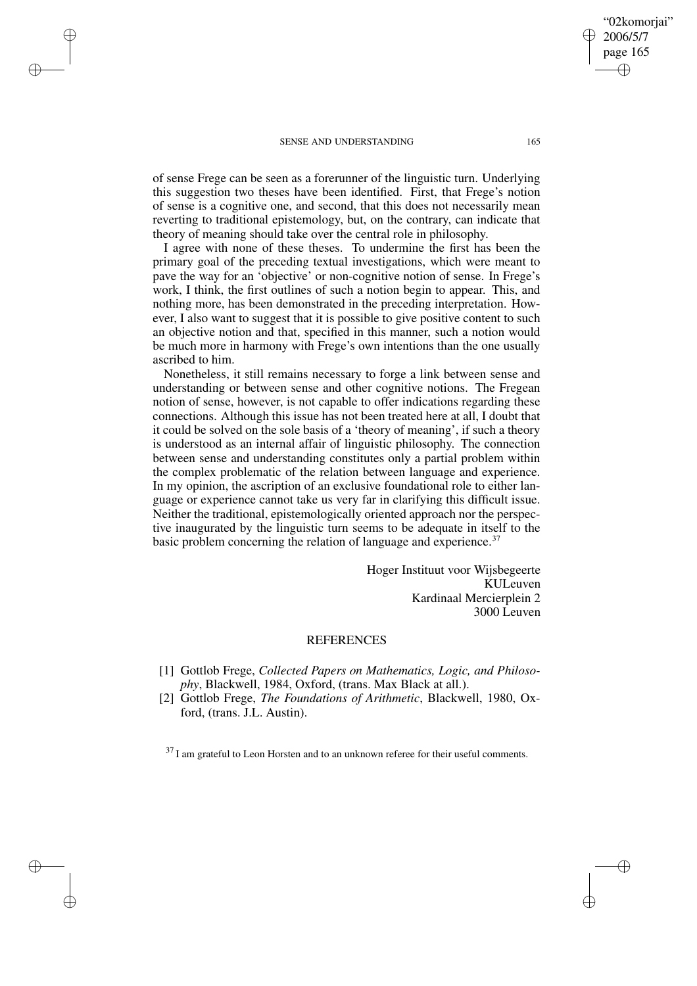✐

✐

✐

✐

of sense Frege can be seen as a forerunner of the linguistic turn. Underlying this suggestion two theses have been identified. First, that Frege's notion of sense is a cognitive one, and second, that this does not necessarily mean reverting to traditional epistemology, but, on the contrary, can indicate that theory of meaning should take over the central role in philosophy.

I agree with none of these theses. To undermine the first has been the primary goal of the preceding textual investigations, which were meant to pave the way for an 'objective' or non-cognitive notion of sense. In Frege's work, I think, the first outlines of such a notion begin to appear. This, and nothing more, has been demonstrated in the preceding interpretation. However, I also want to suggest that it is possible to give positive content to such an objective notion and that, specified in this manner, such a notion would be much more in harmony with Frege's own intentions than the one usually ascribed to him.

Nonetheless, it still remains necessary to forge a link between sense and understanding or between sense and other cognitive notions. The Fregean notion of sense, however, is not capable to offer indications regarding these connections. Although this issue has not been treated here at all, I doubt that it could be solved on the sole basis of a 'theory of meaning', if such a theory is understood as an internal affair of linguistic philosophy. The connection between sense and understanding constitutes only a partial problem within the complex problematic of the relation between language and experience. In my opinion, the ascription of an exclusive foundational role to either language or experience cannot take us very far in clarifying this difficult issue. Neither the traditional, epistemologically oriented approach nor the perspective inaugurated by the linguistic turn seems to be adequate in itself to the basic problem concerning the relation of language and experience.<sup>37</sup>

> Hoger Instituut voor Wijsbegeerte KULeuven Kardinaal Mercierplein 2 3000 Leuven

# REFERENCES

- [1] Gottlob Frege, *Collected Papers on Mathematics, Logic, and Philosophy*, Blackwell, 1984, Oxford, (trans. Max Black at all.).
- [2] Gottlob Frege, *The Foundations of Arithmetic*, Blackwell, 1980, Oxford, (trans. J.L. Austin).

 $37$  I am grateful to Leon Horsten and to an unknown referee for their useful comments.

"02komorjai" 2006/5/7 page 165

✐

✐

✐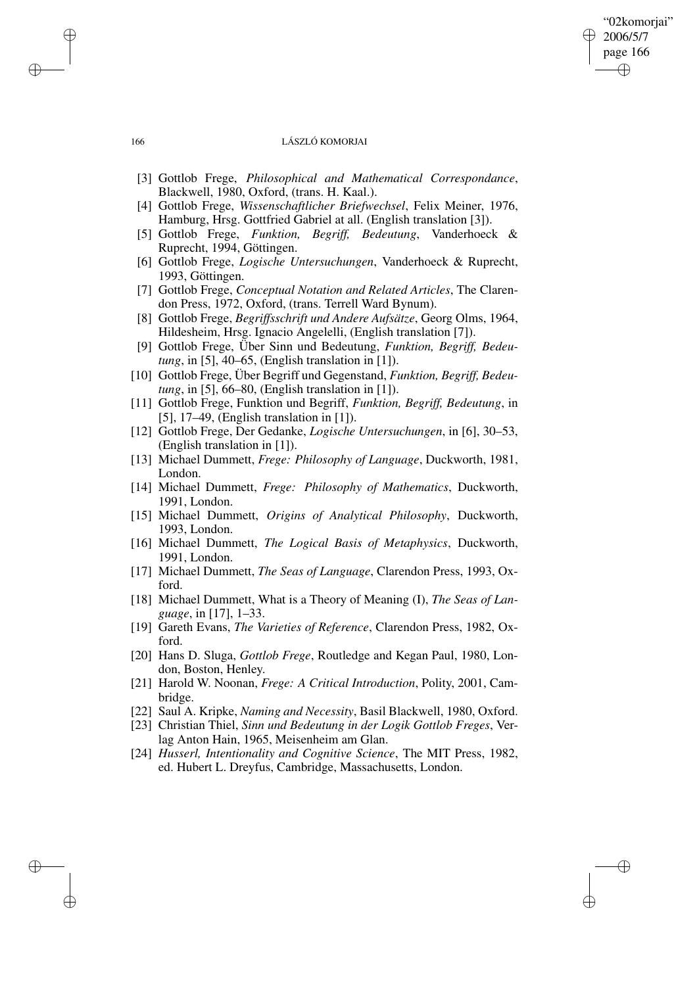#### 166 LÁSZLÓ KOMORJAI

"02komorjai" 2006/5/7 page 166

✐

✐

✐

✐

- [3] Gottlob Frege, *Philosophical and Mathematical Correspondance*, Blackwell, 1980, Oxford, (trans. H. Kaal.).
- [4] Gottlob Frege, *Wissenschaftlicher Briefwechsel*, Felix Meiner, 1976, Hamburg, Hrsg. Gottfried Gabriel at all. (English translation [3]).
- [5] Gottlob Frege, *Funktion, Begriff, Bedeutung*, Vanderhoeck & Ruprecht, 1994, Göttingen.
- [6] Gottlob Frege, *Logische Untersuchungen*, Vanderhoeck & Ruprecht, 1993, Göttingen.
- [7] Gottlob Frege, *Conceptual Notation and Related Articles*, The Clarendon Press, 1972, Oxford, (trans. Terrell Ward Bynum).
- [8] Gottlob Frege, *Begriffsschrift und Andere Aufsätze*, Georg Olms, 1964, Hildesheim, Hrsg. Ignacio Angelelli, (English translation [7]).
- [9] Gottlob Frege, Über Sinn und Bedeutung, *Funktion, Begriff, Bedeutung*, in [5], 40–65, (English translation in [1]).
- [10] Gottlob Frege, Über Begriff und Gegenstand, *Funktion, Begriff, Bedeutung*, in [5], 66–80, (English translation in [1]).
- [11] Gottlob Frege, Funktion und Begriff, *Funktion, Begriff, Bedeutung*, in [5], 17–49, (English translation in [1]).
- [12] Gottlob Frege, Der Gedanke, *Logische Untersuchungen*, in [6], 30–53, (English translation in [1]).
- [13] Michael Dummett, *Frege: Philosophy of Language*, Duckworth, 1981, London.
- [14] Michael Dummett, *Frege: Philosophy of Mathematics*, Duckworth, 1991, London.
- [15] Michael Dummett, *Origins of Analytical Philosophy*, Duckworth, 1993, London.
- [16] Michael Dummett, *The Logical Basis of Metaphysics*, Duckworth, 1991, London.
- [17] Michael Dummett, *The Seas of Language*, Clarendon Press, 1993, Oxford.
- [18] Michael Dummett, What is a Theory of Meaning (I), *The Seas of Language*, in [17], 1–33.
- [19] Gareth Evans, *The Varieties of Reference*, Clarendon Press, 1982, Oxford.
- [20] Hans D. Sluga, *Gottlob Frege*, Routledge and Kegan Paul, 1980, London, Boston, Henley.
- [21] Harold W. Noonan, *Frege: A Critical Introduction*, Polity, 2001, Cambridge.
- [22] Saul A. Kripke, *Naming and Necessity*, Basil Blackwell, 1980, Oxford.
- [23] Christian Thiel, *Sinn und Bedeutung in der Logik Gottlob Freges*, Verlag Anton Hain, 1965, Meisenheim am Glan.
- [24] *Husserl, Intentionality and Cognitive Science*, The MIT Press, 1982, ed. Hubert L. Dreyfus, Cambridge, Massachusetts, London.

✐

✐

✐